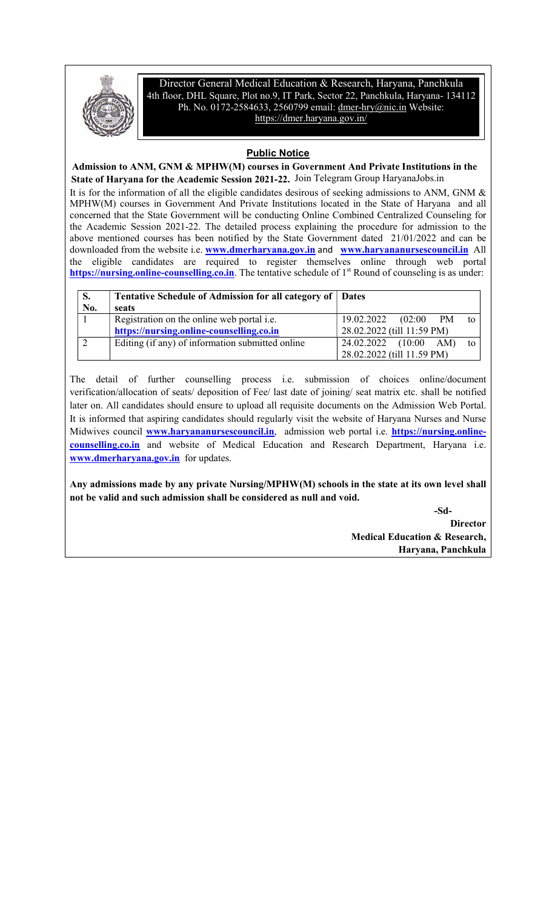

Director General Medical Education & Research, Haryana, Panchkula 4th floor, DHL Square, Plot no.9, IT Park, Sector 22, Panchkula, Haryana- 134112 Ph. No. 0172-2584633, 2560799 email: dmer-hry@nic.in Website: https://dmer.haryana.gov.in/

# Public Notice

 Admission to ANM, GNM & MPHW(M) courses in Government And Private Institutions in the State of Haryana for the Academic Session 2021-22. Join Telegram Group HaryanaJobs.inIt is for the information of all the eligible candidates desirous of seeking admissions to ANM, GNM & MPHW(M) courses in Government And Private Institutions located in the State of Haryana and all concerned that the State Government will be conducting Online Combined Centralized Counseling for the Academic Session 2021-22. The detailed process explaining the procedure for admission to the above mentioned courses has been notified by the State Government dated 21/01/2022 and can be downloaded from the website i.e. www.dmerharyana.gov.in and www.haryananursescouncil.in All the eligible candidates are required to register themselves online through web portal https://nursing.online-counselling.co.in. The tentative schedule of 1<sup>st</sup> Round of counseling is as under:

| S.<br>No. | Tentative Schedule of Admission for all category of Dates<br>seats |                                          |
|-----------|--------------------------------------------------------------------|------------------------------------------|
|           | Registration on the online web portal <i>i.e.</i>                  | 19.02.2022<br><b>PM</b><br>(02:00)<br>to |
|           | https://nursing.online-counselling.co.in                           | 28.02.2022 (till 11:59 PM)               |
|           | Editing (if any) of information submitted online                   | 24.02.2022 (10:00 AM)<br>to              |
|           |                                                                    | 28.02.2022 (till 11.59 PM)               |

The detail of further counselling process i.e. submission of choices online/document verification/allocation of seats/ deposition of Fee/ last date of joining/ seat matrix etc. shall be notified later on. All candidates should ensure to upload all requisite documents on the Admission Web Portal. It is informed that aspiring candidates should regularly visit the website of Haryana Nurses and Nurse Midwives council **www.haryananursescouncil.in**, admission web portal i.e. **https://nursing.online**counselling.co.in and website of Medical Education and Research Department, Haryana i.e. www.dmerharyana.gov.in for updates.

Any admissions made by any private Nursing/MPHW(M) schools in the state at its own level shall not be valid and such admission shall be considered as null and void.

-Sd-

**Director**  Medical Education & Research, Haryana, Panchkula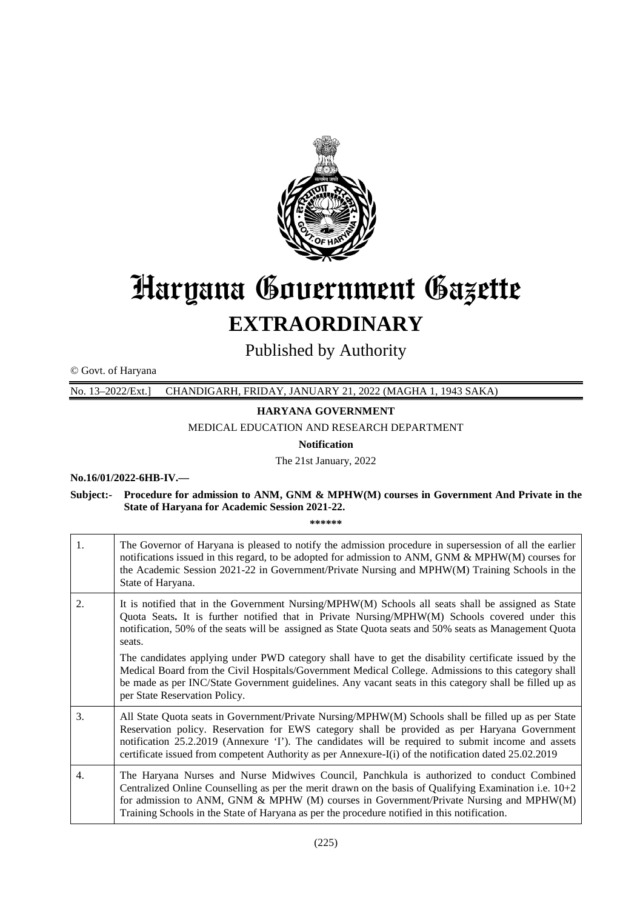

# Haryana Government Gazette **EXTRAORDINARY**

Published by Authority

© Govt. of Haryana

No. 13–2022/Ext.] CHANDIGARH, FRIDAY, JANUARY 21, 2022 (MAGHA 1, 1943 SAKA) ,

#### **HARYANA GOVERNMENT**

MEDICAL EDUCATION AND RESEARCH DEPARTMENT

**Notification**

The 21st January, 2022

#### **No.16/01/2022-6HB-IV.—**

#### Subject:- Procedure for admission to ANM, GNM & MPHW(M) courses in Government And Private in the **State of Haryana for Academic Session 2021 2021-22.**

**\*\*\*\*\*\***

| 1. | The Governor of Haryana is pleased to notify the admission procedure in supersession of all the earlier<br>notifications issued in this regard, to be adopted for admission to ANM, GNM & MPHW(M) courses for<br>the Academic Session 2021-22 in Government/Private Nursing and MPHW(M) Training Schools in the<br>State of Haryana.                                                                               |
|----|--------------------------------------------------------------------------------------------------------------------------------------------------------------------------------------------------------------------------------------------------------------------------------------------------------------------------------------------------------------------------------------------------------------------|
| 2. | It is notified that in the Government Nursing/MPHW(M) Schools all seats shall be assigned as State<br>Quota Seats. It is further notified that in Private Nursing/MPHW(M) Schools covered under this<br>notification, 50% of the seats will be assigned as State Quota seats and 50% seats as Management Quota<br>seats.                                                                                           |
|    | The candidates applying under PWD category shall have to get the disability certificate issued by the<br>Medical Board from the Civil Hospitals/Government Medical College. Admissions to this category shall<br>be made as per INC/State Government guidelines. Any vacant seats in this category shall be filled up as<br>per State Reservation Policy.                                                          |
| 3. | All State Quota seats in Government/Private Nursing/MPHW(M) Schools shall be filled up as per State<br>Reservation policy. Reservation for EWS category shall be provided as per Haryana Government<br>notification 25.2.2019 (Annexure 'I'). The candidates will be required to submit income and assets<br>certificate issued from competent Authority as per Annexure-I(i) of the notification dated 25.02.2019 |
| 4. | The Haryana Nurses and Nurse Midwives Council, Panchkula is authorized to conduct Combined<br>Centralized Online Counselling as per the merit drawn on the basis of Qualifying Examination i.e. $10+2$<br>for admission to ANM, GNM & MPHW (M) courses in Government/Private Nursing and MPHW(M)<br>Training Schools in the State of Haryana as per the procedure notified in this notification.                   |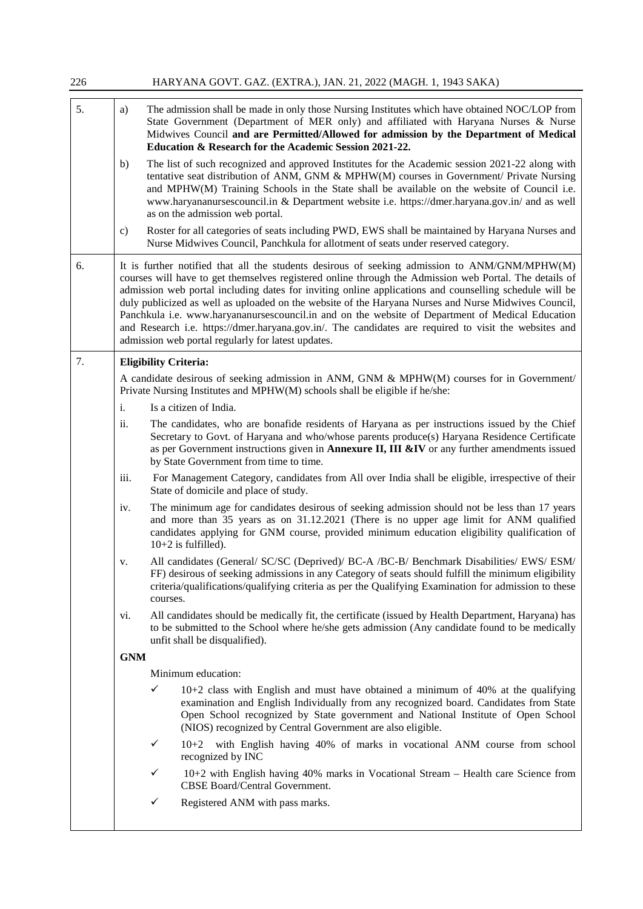| 226 | HARYANA GOVT. GAZ. (EXTRA.), JAN. 21, 2022 (MAGH. 1, 1943 SAKA)                                                                                                                                                                                                                                                                                                                                                                                                                                                                                                                                                                                                                              |  |  |  |
|-----|----------------------------------------------------------------------------------------------------------------------------------------------------------------------------------------------------------------------------------------------------------------------------------------------------------------------------------------------------------------------------------------------------------------------------------------------------------------------------------------------------------------------------------------------------------------------------------------------------------------------------------------------------------------------------------------------|--|--|--|
| 5.  | The admission shall be made in only those Nursing Institutes which have obtained NOC/LOP from<br>a)<br>State Government (Department of MER only) and affiliated with Haryana Nurses & Nurse<br>Midwives Council and are Permitted/Allowed for admission by the Department of Medical<br>Education & Research for the Academic Session 2021-22.                                                                                                                                                                                                                                                                                                                                               |  |  |  |
|     | The list of such recognized and approved Institutes for the Academic session 2021-22 along with<br>b)<br>tentative seat distribution of ANM, GNM & MPHW(M) courses in Government/ Private Nursing<br>and MPHW(M) Training Schools in the State shall be available on the website of Council i.e.<br>www.haryananursescouncil.in & Department website i.e. https://dmer.haryana.gov.in/ and as well<br>as on the admission web portal.                                                                                                                                                                                                                                                        |  |  |  |
|     | Roster for all categories of seats including PWD, EWS shall be maintained by Haryana Nurses and<br>$\mathbf{c})$<br>Nurse Midwives Council, Panchkula for allotment of seats under reserved category.                                                                                                                                                                                                                                                                                                                                                                                                                                                                                        |  |  |  |
| 6.  | It is further notified that all the students desirous of seeking admission to ANM/GNM/MPHW(M)<br>courses will have to get themselves registered online through the Admission web Portal. The details of<br>admission web portal including dates for inviting online applications and counselling schedule will be<br>duly publicized as well as uploaded on the website of the Haryana Nurses and Nurse Midwives Council,<br>Panchkula i.e. www.haryananursescouncil.in and on the website of Department of Medical Education<br>and Research i.e. https://dmer.haryana.gov.in/. The candidates are required to visit the websites and<br>admission web portal regularly for latest updates. |  |  |  |
| 7.  | <b>Eligibility Criteria:</b>                                                                                                                                                                                                                                                                                                                                                                                                                                                                                                                                                                                                                                                                 |  |  |  |
|     | A candidate desirous of seeking admission in ANM, GNM & MPHW(M) courses for in Government/<br>Private Nursing Institutes and MPHW(M) schools shall be eligible if he/she:                                                                                                                                                                                                                                                                                                                                                                                                                                                                                                                    |  |  |  |
|     | Is a citizen of India.<br>$\mathbf{i}$ .                                                                                                                                                                                                                                                                                                                                                                                                                                                                                                                                                                                                                                                     |  |  |  |
|     | ii.<br>The candidates, who are bonafide residents of Haryana as per instructions issued by the Chief<br>Secretary to Govt. of Haryana and who/whose parents produce(s) Haryana Residence Certificate<br>as per Government instructions given in <b>Annexure II, III &amp;IV</b> or any further amendments issued<br>by State Government from time to time.                                                                                                                                                                                                                                                                                                                                   |  |  |  |
|     | For Management Category, candidates from All over India shall be eligible, irrespective of their<br>iii.<br>State of domicile and place of study.                                                                                                                                                                                                                                                                                                                                                                                                                                                                                                                                            |  |  |  |
|     | The minimum age for candidates desirous of seeking admission should not be less than 17 years<br>iv.<br>and more than 35 years as on 31.12.2021 (There is no upper age limit for ANM qualified<br>candidates applying for GNM course, provided minimum education eligibility qualification of<br>$10+2$ is fulfilled).                                                                                                                                                                                                                                                                                                                                                                       |  |  |  |
|     | All candidates (General/ SC/SC (Deprived)/ BC-A /BC-B/ Benchmark Disabilities/ EWS/ ESM/<br>v.<br>FF) desirous of seeking admissions in any Category of seats should fulfill the minimum eligibility<br>criteria/qualifications/qualifying criteria as per the Qualifying Examination for admission to these<br>courses.                                                                                                                                                                                                                                                                                                                                                                     |  |  |  |
|     | All candidates should be medically fit, the certificate (issued by Health Department, Haryana) has<br>vi.<br>to be submitted to the School where he/she gets admission (Any candidate found to be medically<br>unfit shall be disqualified).                                                                                                                                                                                                                                                                                                                                                                                                                                                 |  |  |  |
|     | <b>GNM</b>                                                                                                                                                                                                                                                                                                                                                                                                                                                                                                                                                                                                                                                                                   |  |  |  |
|     | Minimum education:                                                                                                                                                                                                                                                                                                                                                                                                                                                                                                                                                                                                                                                                           |  |  |  |
|     | $\checkmark$<br>$10+2$ class with English and must have obtained a minimum of 40% at the qualifying<br>examination and English Individually from any recognized board. Candidates from State<br>Open School recognized by State government and National Institute of Open School<br>(NIOS) recognized by Central Government are also eligible.                                                                                                                                                                                                                                                                                                                                               |  |  |  |
|     | 10+2 with English having 40% of marks in vocational ANM course from school<br>✓<br>recognized by INC                                                                                                                                                                                                                                                                                                                                                                                                                                                                                                                                                                                         |  |  |  |
|     | ✓<br>10+2 with English having 40% marks in Vocational Stream – Health care Science from<br>CBSE Board/Central Government.                                                                                                                                                                                                                                                                                                                                                                                                                                                                                                                                                                    |  |  |  |
|     | ✓<br>Registered ANM with pass marks.                                                                                                                                                                                                                                                                                                                                                                                                                                                                                                                                                                                                                                                         |  |  |  |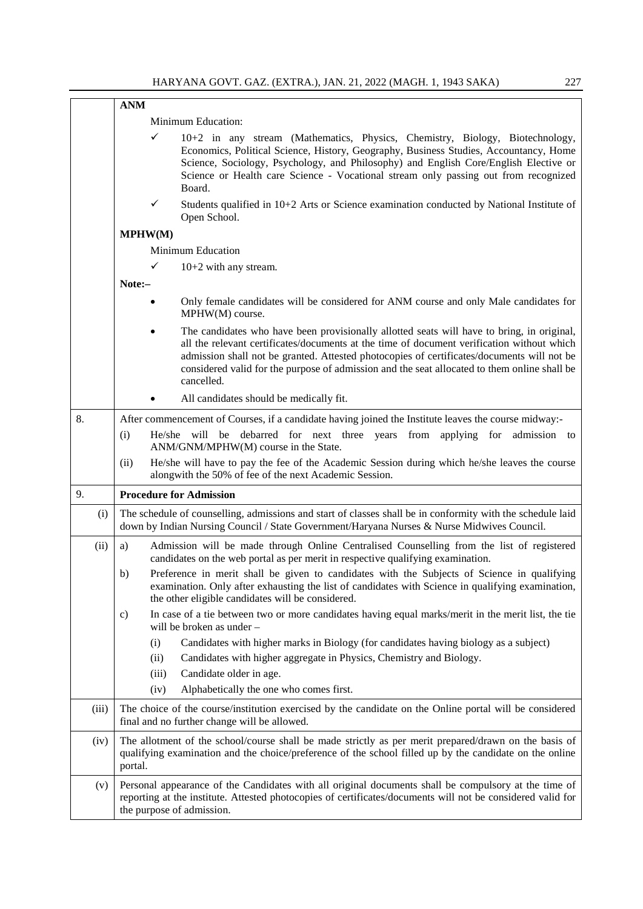|       | <b>ANM</b>                                                                                                                                                                                                                                                                                                                                                                                           |  |  |
|-------|------------------------------------------------------------------------------------------------------------------------------------------------------------------------------------------------------------------------------------------------------------------------------------------------------------------------------------------------------------------------------------------------------|--|--|
|       | Minimum Education:                                                                                                                                                                                                                                                                                                                                                                                   |  |  |
|       | ✓<br>10+2 in any stream (Mathematics, Physics, Chemistry, Biology, Biotechnology,<br>Economics, Political Science, History, Geography, Business Studies, Accountancy, Home<br>Science, Sociology, Psychology, and Philosophy) and English Core/English Elective or<br>Science or Health care Science - Vocational stream only passing out from recognized<br>Board.                                  |  |  |
|       | ✓<br>Students qualified in $10+2$ Arts or Science examination conducted by National Institute of<br>Open School.                                                                                                                                                                                                                                                                                     |  |  |
|       | MPHW(M)                                                                                                                                                                                                                                                                                                                                                                                              |  |  |
|       | <b>Minimum Education</b>                                                                                                                                                                                                                                                                                                                                                                             |  |  |
|       | ✓<br>$10+2$ with any stream.                                                                                                                                                                                                                                                                                                                                                                         |  |  |
|       | Note:-                                                                                                                                                                                                                                                                                                                                                                                               |  |  |
|       | Only female candidates will be considered for ANM course and only Male candidates for<br>MPHW(M) course.                                                                                                                                                                                                                                                                                             |  |  |
|       | The candidates who have been provisionally allotted seats will have to bring, in original,<br>all the relevant certificates/documents at the time of document verification without which<br>admission shall not be granted. Attested photocopies of certificates/documents will not be<br>considered valid for the purpose of admission and the seat allocated to them online shall be<br>cancelled. |  |  |
|       | All candidates should be medically fit.                                                                                                                                                                                                                                                                                                                                                              |  |  |
| 8.    | After commencement of Courses, if a candidate having joined the Institute leaves the course midway:-                                                                                                                                                                                                                                                                                                 |  |  |
|       | He/she will be debarred for next three years from applying for admission to<br>(i)<br>ANM/GNM/MPHW(M) course in the State.                                                                                                                                                                                                                                                                           |  |  |
|       | He/she will have to pay the fee of the Academic Session during which he/she leaves the course<br>(ii)<br>alongwith the 50% of fee of the next Academic Session.                                                                                                                                                                                                                                      |  |  |
| 9.    | <b>Procedure for Admission</b>                                                                                                                                                                                                                                                                                                                                                                       |  |  |
| (i)   | The schedule of counselling, admissions and start of classes shall be in conformity with the schedule laid<br>down by Indian Nursing Council / State Government/Haryana Nurses & Nurse Midwives Council.                                                                                                                                                                                             |  |  |
| (ii)  | Admission will be made through Online Centralised Counselling from the list of registered<br>a)<br>candidates on the web portal as per merit in respective qualifying examination.                                                                                                                                                                                                                   |  |  |
|       | Preference in merit shall be given to candidates with the Subjects of Science in qualifying<br>b)<br>examination. Only after exhausting the list of candidates with Science in qualifying examination,<br>the other eligible candidates will be considered.                                                                                                                                          |  |  |
|       | In case of a tie between two or more candidates having equal marks/merit in the merit list, the tie<br>c)<br>will be broken as under -                                                                                                                                                                                                                                                               |  |  |
|       | Candidates with higher marks in Biology (for candidates having biology as a subject)<br>(i)                                                                                                                                                                                                                                                                                                          |  |  |
|       | Candidates with higher aggregate in Physics, Chemistry and Biology.<br>(ii)                                                                                                                                                                                                                                                                                                                          |  |  |
|       | Candidate older in age.<br>(iii)                                                                                                                                                                                                                                                                                                                                                                     |  |  |
|       | Alphabetically the one who comes first.<br>(iv)                                                                                                                                                                                                                                                                                                                                                      |  |  |
| (iii) | The choice of the course/institution exercised by the candidate on the Online portal will be considered<br>final and no further change will be allowed.                                                                                                                                                                                                                                              |  |  |
| (iv)  | The allotment of the school/course shall be made strictly as per merit prepared/drawn on the basis of<br>qualifying examination and the choice/preference of the school filled up by the candidate on the online<br>portal.                                                                                                                                                                          |  |  |
| (v)   | Personal appearance of the Candidates with all original documents shall be compulsory at the time of<br>reporting at the institute. Attested photocopies of certificates/documents will not be considered valid for<br>the purpose of admission.                                                                                                                                                     |  |  |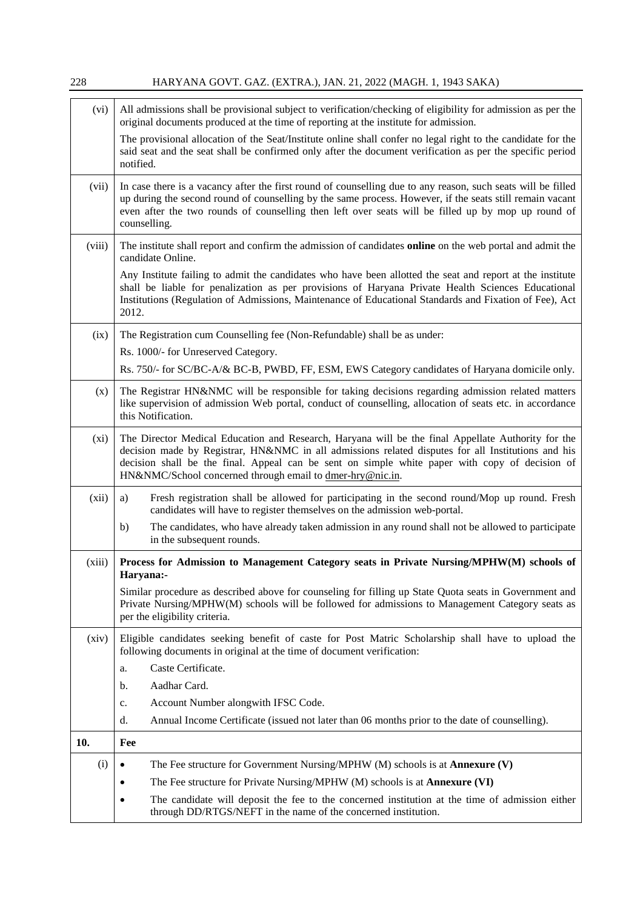| 228     | HARYANA GOVT. GAZ. (EXTRA.), JAN. 21, 2022 (MAGH. 1, 1943 SAKA)                                                                                                                                                                                                                                                                                                         |  |
|---------|-------------------------------------------------------------------------------------------------------------------------------------------------------------------------------------------------------------------------------------------------------------------------------------------------------------------------------------------------------------------------|--|
| (vi)    | All admissions shall be provisional subject to verification/checking of eligibility for admission as per the<br>original documents produced at the time of reporting at the institute for admission.                                                                                                                                                                    |  |
|         | The provisional allocation of the Seat/Institute online shall confer no legal right to the candidate for the<br>said seat and the seat shall be confirmed only after the document verification as per the specific period<br>notified.                                                                                                                                  |  |
| (vii)   | In case there is a vacancy after the first round of counselling due to any reason, such seats will be filled<br>up during the second round of counselling by the same process. However, if the seats still remain vacant<br>even after the two rounds of counselling then left over seats will be filled up by mop up round of<br>counselling.                          |  |
| (viii)  | The institute shall report and confirm the admission of candidates online on the web portal and admit the<br>candidate Online.                                                                                                                                                                                                                                          |  |
|         | Any Institute failing to admit the candidates who have been allotted the seat and report at the institute<br>shall be liable for penalization as per provisions of Haryana Private Health Sciences Educational<br>Institutions (Regulation of Admissions, Maintenance of Educational Standards and Fixation of Fee), Act<br>2012.                                       |  |
| (ix)    | The Registration cum Counselling fee (Non-Refundable) shall be as under:                                                                                                                                                                                                                                                                                                |  |
|         | Rs. 1000/- for Unreserved Category.                                                                                                                                                                                                                                                                                                                                     |  |
|         | Rs. 750/- for SC/BC-A/& BC-B, PWBD, FF, ESM, EWS Category candidates of Haryana domicile only.                                                                                                                                                                                                                                                                          |  |
| (x)     | The Registrar HN&NMC will be responsible for taking decisions regarding admission related matters<br>like supervision of admission Web portal, conduct of counselling, allocation of seats etc. in accordance<br>this Notification.                                                                                                                                     |  |
| $(x_i)$ | The Director Medical Education and Research, Haryana will be the final Appellate Authority for the<br>decision made by Registrar, HN&NMC in all admissions related disputes for all Institutions and his<br>decision shall be the final. Appeal can be sent on simple white paper with copy of decision of<br>HN&NMC/School concerned through email to dmer-hry@nic.in. |  |
| (xii)   | Fresh registration shall be allowed for participating in the second round/Mop up round. Fresh<br>a)<br>candidates will have to register themselves on the admission web-portal.                                                                                                                                                                                         |  |
|         | The candidates, who have already taken admission in any round shall not be allowed to participate<br>b)<br>in the subsequent rounds.                                                                                                                                                                                                                                    |  |
| (xiii)  | Process for Admission to Management Category seats in Private Nursing/MPHW(M) schools of<br>Haryana:-                                                                                                                                                                                                                                                                   |  |
|         | Similar procedure as described above for counseling for filling up State Quota seats in Government and<br>Private Nursing/MPHW(M) schools will be followed for admissions to Management Category seats as<br>per the eligibility criteria.                                                                                                                              |  |
| (xiv)   | Eligible candidates seeking benefit of caste for Post Matric Scholarship shall have to upload the<br>following documents in original at the time of document verification:                                                                                                                                                                                              |  |
|         | Caste Certificate.<br>a.                                                                                                                                                                                                                                                                                                                                                |  |
|         | Aadhar Card.<br>b.                                                                                                                                                                                                                                                                                                                                                      |  |
|         | Account Number alongwith IFSC Code.<br>c.                                                                                                                                                                                                                                                                                                                               |  |
|         | Annual Income Certificate (issued not later than 06 months prior to the date of counselling).<br>d.                                                                                                                                                                                                                                                                     |  |
| 10.     | Fee                                                                                                                                                                                                                                                                                                                                                                     |  |
| (i)     | The Fee structure for Government Nursing/MPHW $(M)$ schools is at <b>Annexure <math>(V)</math></b>                                                                                                                                                                                                                                                                      |  |
|         | The Fee structure for Private Nursing/MPHW (M) schools is at <b>Annexure (VI)</b>                                                                                                                                                                                                                                                                                       |  |
|         | The candidate will deposit the fee to the concerned institution at the time of admission either<br>through DD/RTGS/NEFT in the name of the concerned institution.                                                                                                                                                                                                       |  |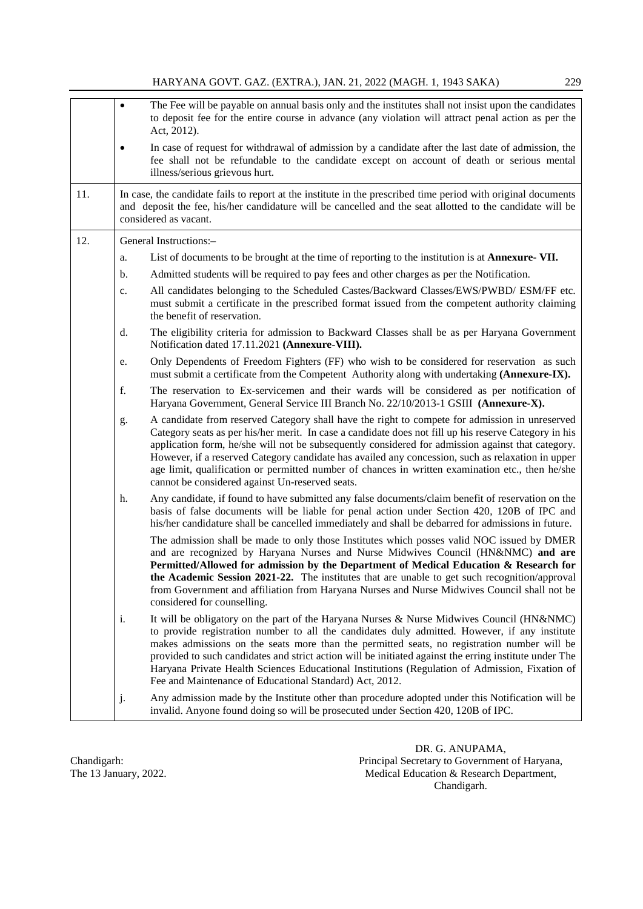|     |           | HAR I AINA GO V I . GAZ. (EA I KA.), JAIN. 21, 2022 (MAGH. 1, 1945 SANA)<br>22,                                                                                                                                                                                                                                                                                                                                                                                                                                                                                          |
|-----|-----------|--------------------------------------------------------------------------------------------------------------------------------------------------------------------------------------------------------------------------------------------------------------------------------------------------------------------------------------------------------------------------------------------------------------------------------------------------------------------------------------------------------------------------------------------------------------------------|
|     | $\bullet$ | The Fee will be payable on annual basis only and the institutes shall not insist upon the candidates<br>to deposit fee for the entire course in advance (any violation will attract penal action as per the<br>Act, 2012).                                                                                                                                                                                                                                                                                                                                               |
|     |           | In case of request for withdrawal of admission by a candidate after the last date of admission, the<br>fee shall not be refundable to the candidate except on account of death or serious mental<br>illness/serious grievous hurt.                                                                                                                                                                                                                                                                                                                                       |
| 11. |           | In case, the candidate fails to report at the institute in the prescribed time period with original documents<br>and deposit the fee, his/her candidature will be cancelled and the seat allotted to the candidate will be<br>considered as vacant.                                                                                                                                                                                                                                                                                                                      |
| 12. |           | General Instructions:-                                                                                                                                                                                                                                                                                                                                                                                                                                                                                                                                                   |
|     | a.        | List of documents to be brought at the time of reporting to the institution is at <b>Annexure-VII.</b>                                                                                                                                                                                                                                                                                                                                                                                                                                                                   |
|     | b.        | Admitted students will be required to pay fees and other charges as per the Notification.                                                                                                                                                                                                                                                                                                                                                                                                                                                                                |
|     | c.        | All candidates belonging to the Scheduled Castes/Backward Classes/EWS/PWBD/ ESM/FF etc.<br>must submit a certificate in the prescribed format issued from the competent authority claiming<br>the benefit of reservation.                                                                                                                                                                                                                                                                                                                                                |
|     | d.        | The eligibility criteria for admission to Backward Classes shall be as per Haryana Government<br>Notification dated 17.11.2021 (Annexure-VIII).                                                                                                                                                                                                                                                                                                                                                                                                                          |
|     | e.        | Only Dependents of Freedom Fighters (FF) who wish to be considered for reservation as such<br>must submit a certificate from the Competent Authority along with undertaking (Annexure-IX).                                                                                                                                                                                                                                                                                                                                                                               |
|     | f.        | The reservation to Ex-servicemen and their wards will be considered as per notification of<br>Haryana Government, General Service III Branch No. 22/10/2013-1 GSIII (Annexure-X).                                                                                                                                                                                                                                                                                                                                                                                        |
|     | g.        | A candidate from reserved Category shall have the right to compete for admission in unreserved<br>Category seats as per his/her merit. In case a candidate does not fill up his reserve Category in his<br>application form, he/she will not be subsequently considered for admission against that category.<br>However, if a reserved Category candidate has availed any concession, such as relaxation in upper<br>age limit, qualification or permitted number of chances in written examination etc., then he/she<br>cannot be considered against Un-reserved seats. |
|     | h.        | Any candidate, if found to have submitted any false documents/claim benefit of reservation on the<br>basis of false documents will be liable for penal action under Section 420, 120B of IPC and<br>his/her candidature shall be cancelled immediately and shall be debarred for admissions in future.                                                                                                                                                                                                                                                                   |
|     |           | The admission shall be made to only those Institutes which posses valid NOC issued by DMER<br>and are recognized by Haryana Nurses and Nurse Midwives Council (HN&NMC) and are<br>Permitted/Allowed for admission by the Department of Medical Education & Research for<br>the Academic Session 2021-22. The institutes that are unable to get such recognition/approval<br>from Government and affiliation from Haryana Nurses and Nurse Midwives Council shall not be<br>considered for counselling.                                                                   |
|     | i.        | It will be obligatory on the part of the Haryana Nurses & Nurse Midwives Council (HN&NMC)<br>to provide registration number to all the candidates duly admitted. However, if any institute<br>makes admissions on the seats more than the permitted seats, no registration number will be<br>provided to such candidates and strict action will be initiated against the erring institute under The<br>Haryana Private Health Sciences Educational Institutions (Regulation of Admission, Fixation of<br>Fee and Maintenance of Educational Standard) Act, 2012.         |
|     | j.        | Any admission made by the Institute other than procedure adopted under this Notification will be<br>invalid. Anyone found doing so will be prosecuted under Section 420, 120B of IPC.                                                                                                                                                                                                                                                                                                                                                                                    |

DR. G. ANUPAMA, Chandigarh: Principal Secretary to Government of Haryana, The 13 January, 2022. **Medical Education & Research Department**, Chandigarh.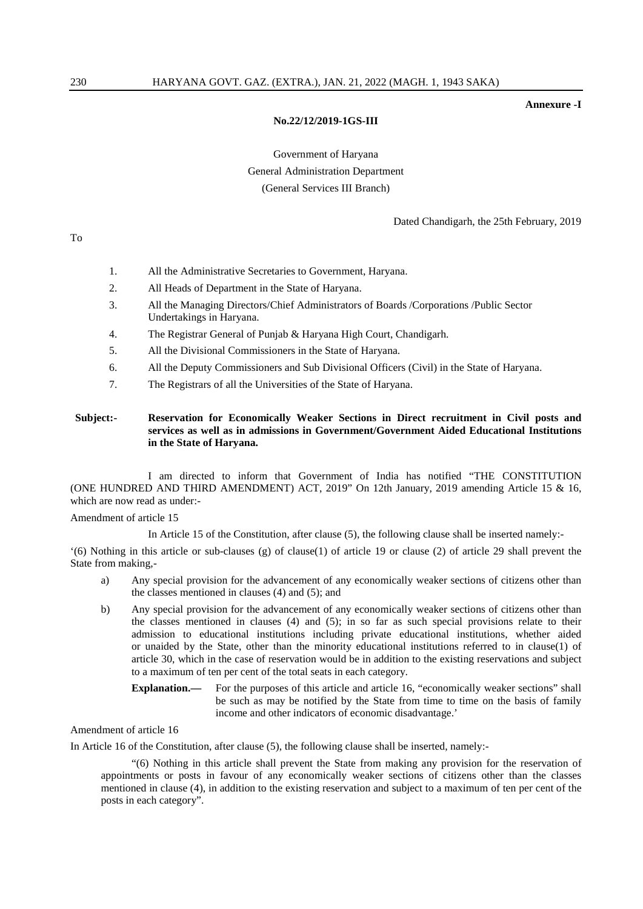**Annexure -I**

#### **No.22/12/2019-1GS-III**

## Government of Haryana General Administration Department (General Services III Branch)

Dated Chandigarh, the 25th February, 2019

- 1. All the Administrative Secretaries to Government, Haryana.
- 2. All Heads of Department in the State of Haryana.
- 3. All the Managing Directors/Chief Administrators of Boards /Corporations /Public Sector Undertakings in Haryana.
- 4. The Registrar General of Punjab & Haryana High Court, Chandigarh.
- 5. All the Divisional Commissioners in the State of Haryana.
- 6. All the Deputy Commissioners and Sub Divisional Officers (Civil) in the State of Haryana.
- 7. The Registrars of all the Universities of the State of Haryana.

#### **Subject:- Reservation for Economically Weaker Sections in Direct recruitment in Civil posts and services as well as in admissions in Government/Government Aided Educational Institutions in the State of Haryana.**

I am directed to inform that Government of India has notified "THE CONSTITUTION (ONE HUNDRED AND THIRD AMENDMENT) ACT, 2019" On 12th January, 2019 amending Article 15 & 16, which are now read as under:-

Amendment of article 15

In Article 15 of the Constitution, after clause (5), the following clause shall be inserted namely:-

'(6) Nothing in this article or sub-clauses (g) of clause(1) of article 19 or clause (2) of article 29 shall prevent the State from making,-

- a) Any special provision for the advancement of any economically weaker sections of citizens other than the classes mentioned in clauses (4) and (5); and
- b) Any special provision for the advancement of any economically weaker sections of citizens other than the classes mentioned in clauses (4) and (5); in so far as such special provisions relate to their admission to educational institutions including private educational institutions, whether aided or unaided by the State, other than the minority educational institutions referred to in clause(1) of article 30, which in the case of reservation would be in addition to the existing reservations and subject to a maximum of ten per cent of the total seats in each category.
	- **Explanation.——** For the purposes of this article and article 16, "economically weaker sections" shall be such as may be notified by the State from time to time on the basis of family income and other indicators of economic disadvantage.'

#### Amendment of article 16

In Article 16 of the Constitution, after clause (5), the following clause shall be inserted, namely:-

"(6) Nothing in this article shall prevent the State from making any provision for the reservation of appointments or posts in favour of any economically weaker sections of citizens other than the classes mentioned in clause (4), in addition to the existing reservation and subject to a maximum of ten per cent of the posts in each category".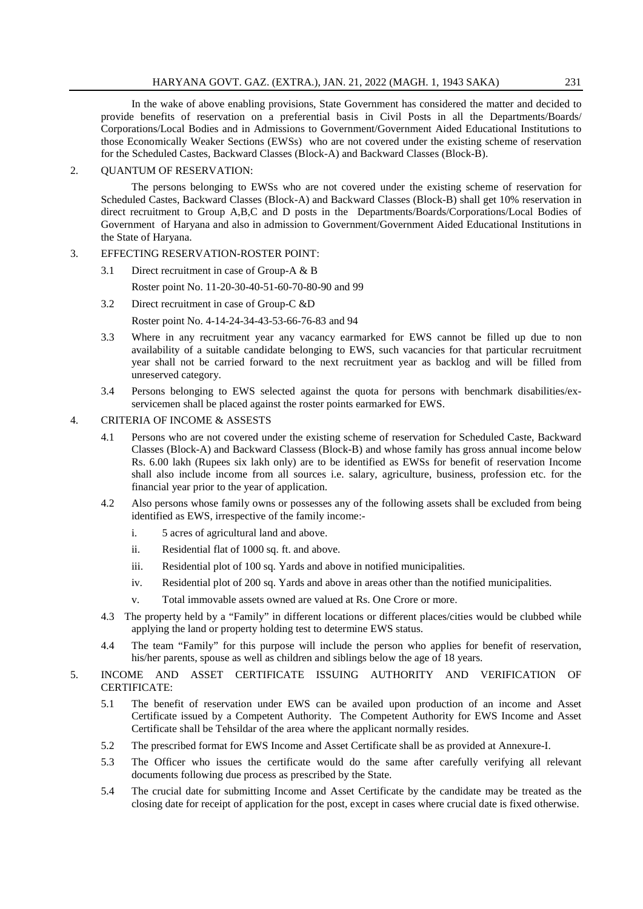In the wake of above enabling provisions, State Government has considered the matter and decided to provide benefits of reservation on a preferential basis in Civil Posts in all the Departments/Boards/ Corporations/Local Bodies and in Admissions to Government/Government Aided Educational Institutions to those Economically Weaker Sections (EWSs) who are not covered under the existing scheme of reservation for the Scheduled Castes, Backward Classes (Block-A) and Backward Classes (Block-B).

#### 2. QUANTUM OF RESERVATION:

The persons belonging to EWSs who are not covered under the existing scheme of reservation for Scheduled Castes, Backward Classes (Block-A) and Backward Classes (Block-B) shall get 10% reservation in direct recruitment to Group A,B,C and D posts in the Departments/Boards/Corporations/Local Bodies of Government of Haryana and also in admission to Government/Government Aided Educational Institutions in the State of Haryana.

#### 3. EFFECTING RESERVATION-ROSTER POINT:

3.1 Direct recruitment in case of Group-A & B

Roster point No. 11-20-30-40-51-60-70-80-90 and 99

3.2 Direct recruitment in case of Group-C &D

Roster point No. 4-14-24-34-43-53-66-76-83 and 94

- 3.3 Where in any recruitment year any vacancy earmarked for EWS cannot be filled up due to non availability of a suitable candidate belonging to EWS, such vacancies for that particular recruitment year shall not be carried forward to the next recruitment year as backlog and will be filled from unreserved category.
- 3.4 Persons belonging to EWS selected against the quota for persons with benchmark disabilities/exservicemen shall be placed against the roster points earmarked for EWS.

#### 4. CRITERIA OF INCOME & ASSESTS

- 4.1 Persons who are not covered under the existing scheme of reservation for Scheduled Caste, Backward Classes (Block-A) and Backward Classess (Block-B) and whose family has gross annual income below Rs. 6.00 lakh (Rupees six lakh only) are to be identified as EWSs for benefit of reservation Income shall also include income from all sources i.e. salary, agriculture, business, profession etc. for the financial year prior to the year of application.
- 4.2 Also persons whose family owns or possesses any of the following assets shall be excluded from being identified as EWS, irrespective of the family income:
	- i. 5 acres of agricultural land and above.
	- ii. Residential flat of 1000 sq. ft. and above.
	- iii. Residential plot of 100 sq. Yards and above in notified municipalities.
	- iv. Residential plot of 200 sq. Yards and above in areas other than the notified municipalities.
	- v. Total immovable assets owned are valued at Rs. One Crore or more.
- 4.3 The property held by a "Family" in different locations or different places/cities would be clubbed while applying the land or property holding test to determine EWS status.
- 4.4 The team "Family" for this purpose will include the person who applies for benefit of reservation, his/her parents, spouse as well as children and siblings below the age of 18 years.
- 5. INCOME AND ASSET CERTIFICATE ISSUING AUTHORITY AND VERIFICATION OF CERTIFICATE:
	- 5.1 The benefit of reservation under EWS can be availed upon production of an income and Asset Certificate issued by a Competent Authority. The Competent Authority for EWS Income and Asset Certificate shall be Tehsildar of the area where the applicant normally resides.
	- 5.2 The prescribed format for EWS Income and Asset Certificate shall be as provided at Annexure-I.
	- 5.3 The Officer who issues the certificate would do the same after carefully verifying all relevant documents following due process as prescribed by the State.
	- 5.4 The crucial date for submitting Income and Asset Certificate by the candidate may be treated as the closing date for receipt of application for the post, except in cases where crucial date is fixed otherwise.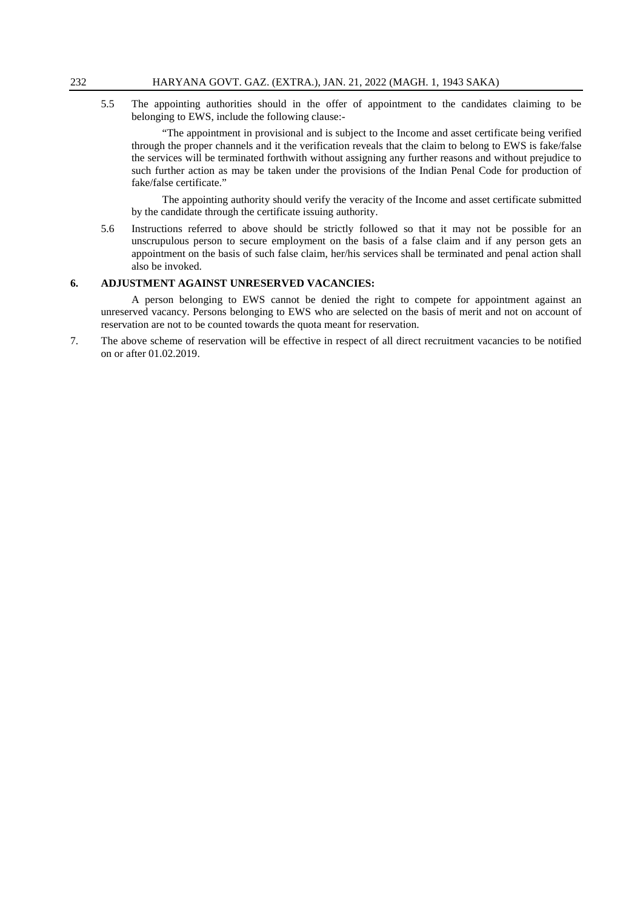5.5 The appointing authorities should in the offer of appointment to the candidates claiming to be belonging to EWS, include the following clause:-

"The appointment in provisional and is subject to the Income and asset certificate being verified through the proper channels and it the verification reveals that the claim to belong to EWS is fake/false the services will be terminated forthwith without assigning any further reasons and without prejudice to such further action as may be taken under the provisions of the Indian Penal Code for production of fake/false certificate."

The appointing authority should verify the veracity of the Income and asset certificate submitted by the candidate through the certificate issuing authority.

5.6 Instructions referred to above should be strictly followed so that it may not be possible for an unscrupulous person to secure employment on the basis of a false claim and if any person gets an appointment on the basis of such false claim, her/his services shall be terminated and penal action shall also be invoked.

#### **6. ADJUSTMENT AGAINST UNRESERVED VACANCIES:**

A person belonging to EWS cannot be denied the right to compete for appointment against an unreserved vacancy. Persons belonging to EWS who are selected on the basis of merit and not on account of reservation are not to be counted towards the quota meant for reservation.

7. The above scheme of reservation will be effective in respect of all direct recruitment vacancies to be notified on or after 01.02.2019.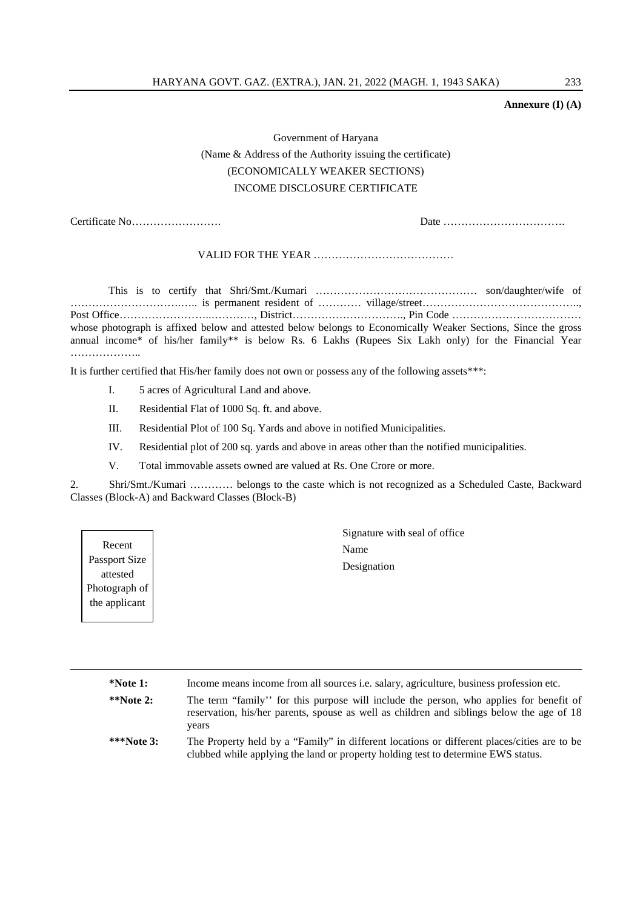#### **Annexure (I) (A)**

# Government of Haryana (Name & Address of the Authority issuing the certificate) (ECONOMICALLY WEAKER SECTIONS) INCOME DISCLOSURE CERTIFICATE

Certificate No……………………. Date …………………………….

VALID FOR THE YEAR …………………………………

This is to certify that Shri/Smt./Kumari ……………………………………… son/daughter/wife of ………………………….….. is permanent resident of ………… village/street…………………………………….., Post Office……………………..…………, District…………………………., Pin Code ……………………………… whose photograph is affixed below and attested below belongs to Economically Weaker Sections, Since the gross annual income\* of his/her family\*\* is below Rs. 6 Lakhs (Rupees Six Lakh only) for the Financial Year ……………………

It is further certified that His/her family does not own or possess any of the following assets\*\*\*:

- I. 5 acres of Agricultural Land and above.
- II. Residential Flat of 1000 Sq. ft. and above.
- III. Residential Plot of 100 Sq. Yards and above in notified Municipalities.
- IV. Residential plot of 200 sq. yards and above in areas other than the notified municipalities.
- V. Total immovable assets owned are valued at Rs. One Crore or more.

2. Shri/Smt./Kumari ………… belongs to the caste which is not recognized as a Scheduled Caste, Backward Classes (Block-A) and Backward Classes (Block-B)

Recent Passport Size attested Photograph of the applicant

Signature with seal of office Name Designation

| $*$ Note 1:  | Income means income from all sources <i>i.e.</i> salary, agriculture, business profession etc.                                                                                               |
|--------------|----------------------------------------------------------------------------------------------------------------------------------------------------------------------------------------------|
| $*$ Note 2:  | The term "family" for this purpose will include the person, who applies for benefit of<br>reservation, his/her parents, spouse as well as children and siblings below the age of 18<br>years |
| ***Note $3:$ | The Property held by a "Family" in different locations or different places/cities are to be<br>clubbed while applying the land or property holding test to determine EWS status.             |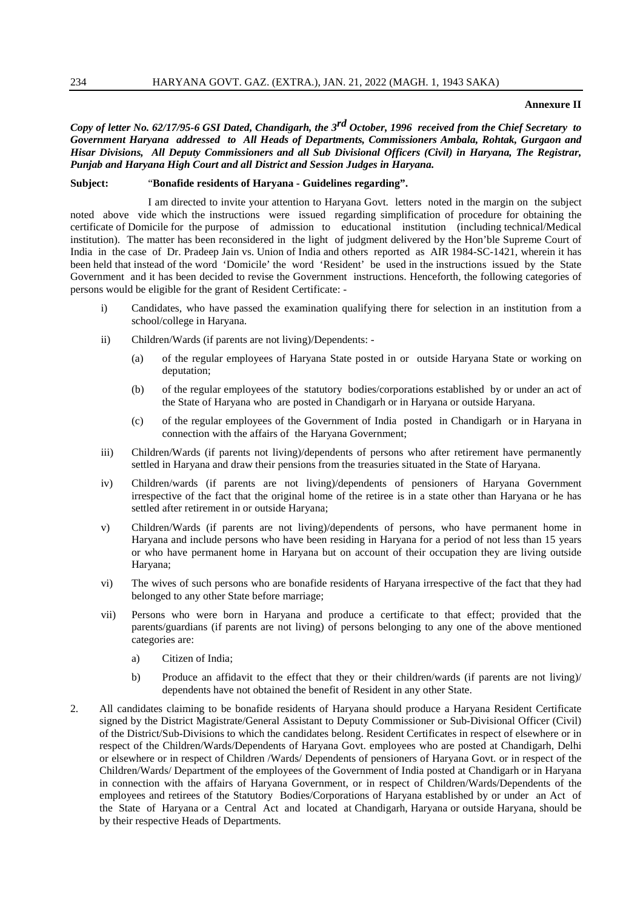#### **Annexure II**

*Copy of letter No. 62/17/95-6 GSI Dated, Chandigarh, the 3rd October, 1996 received from the Chief Secretary to Government Haryana addressed to All Heads of Departments, Commissioners Ambala, Rohtak, Gurgaon and Hisar Divisions, All Deputy Commissioners and all Sub Divisional Officers (Civil) in Haryana, The Registrar, Punjab and Haryana High Court and all District and Session Judges in Haryana.*

#### **Subject:** "**Bonafide residents of Haryana - Guidelines regarding".**

I am directed to invite your attention to Haryana Govt. letters noted in the margin on the subject noted above vide which the instructions were issued regarding simplification of procedure for obtaining the certificate of Domicile for the purpose of admission to educational institution (including technical/Medical institution). The matter has been reconsidered in the light of judgment delivered by the Hon'ble Supreme Court of India in the case of Dr. Pradeep Jain vs. Union of India and others reported as AIR 1984-SC-1421, wherein it has been held that instead of the word 'Domicile' the word 'Resident' be used in the instructions issued by the State Government and it has been decided to revise the Government instructions. Henceforth, the following categories of persons would be eligible for the grant of Resident Certificate: -

- i) Candidates, who have passed the examination qualifying there for selection in an institution from a school/college in Haryana.
- ii) Children/Wards (if parents are not living)/Dependents:
	- (a) of the regular employees of Haryana State posted in or outside Haryana State or working on deputation;
	- (b) of the regular employees of the statutory bodies/corporations established by or under an act of the State of Haryana who are posted in Chandigarh or in Haryana or outside Haryana.
	- (c) of the regular employees of the Government of India posted in Chandigarh or in Haryana in connection with the affairs of the Haryana Government;
- iii) Children/Wards (if parents not living)/dependents of persons who after retirement have permanently settled in Haryana and draw their pensions from the treasuries situated in the State of Haryana.
- iv) Children/wards (if parents are not living)/dependents of pensioners of Haryana Government irrespective of the fact that the original home of the retiree is in a state other than Haryana or he has settled after retirement in or outside Haryana;
- v) Children/Wards (if parents are not living)/dependents of persons, who have permanent home in Haryana and include persons who have been residing in Haryana for a period of not less than 15 years or who have permanent home in Haryana but on account of their occupation they are living outside Haryana;
- vi) The wives of such persons who are bonafide residents of Haryana irrespective of the fact that they had belonged to any other State before marriage;
- vii) Persons who were born in Haryana and produce a certificate to that effect; provided that the parents/guardians (if parents are not living) of persons belonging to any one of the above mentioned categories are:
	- a) Citizen of India;
	- b) Produce an affidavit to the effect that they or their children/wards (if parents are not living)/ dependents have not obtained the benefit of Resident in any other State.
- 2. All candidates claiming to be bonafide residents of Haryana should produce a Haryana Resident Certificate signed by the District Magistrate/General Assistant to Deputy Commissioner or Sub-Divisional Officer (Civil) of the District/Sub-Divisions to which the candidates belong. Resident Certificates in respect of elsewhere or in respect of the Children/Wards/Dependents of Haryana Govt. employees who are posted at Chandigarh, Delhi or elsewhere or in respect of Children /Wards/ Dependents of pensioners of Haryana Govt. or in respect of the Children/Wards/ Department of the employees of the Government of India posted at Chandigarh or in Haryana in connection with the affairs of Haryana Government, or in respect of Children/Wards/Dependents of the employees and retirees of the Statutory Bodies/Corporations of Haryana established by or under an Act of the State of Haryana or a Central Act and located at Chandigarh, Haryana or outside Haryana, should be by their respective Heads of Departments.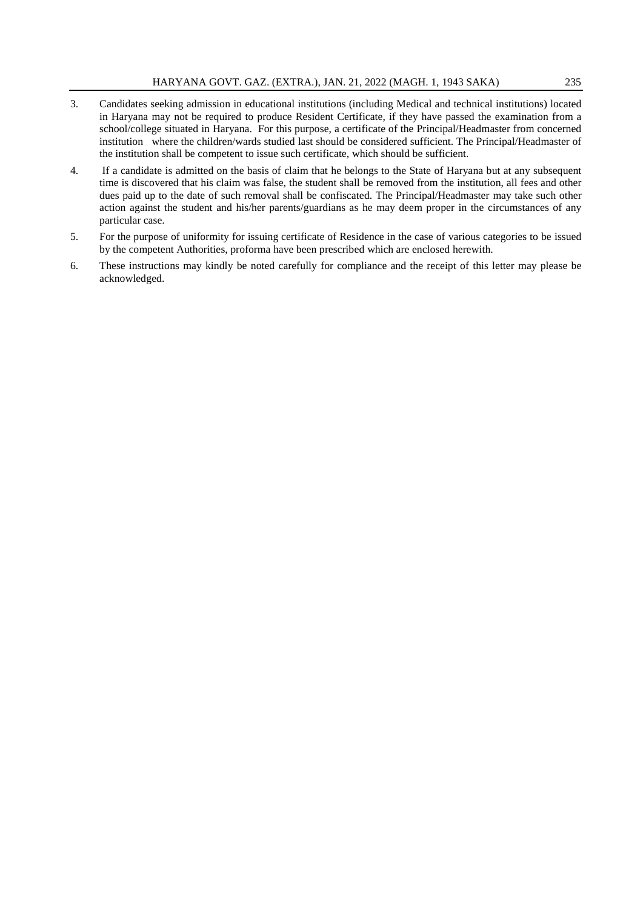- 3. Candidates seeking admission in educational institutions (including Medical and technical institutions) located in Haryana may not be required to produce Resident Certificate, if they have passed the examination from a school/college situated in Haryana. For this purpose, a certificate of the Principal/Headmaster from concerned institution where the children/wards studied last should be considered sufficient. The Principal/Headmaster of the institution shall be competent to issue such certificate, which should be sufficient.
- 4. If a candidate is admitted on the basis of claim that he belongs to the State of Haryana but at any subsequent time is discovered that his claim was false, the student shall be removed from the institution, all fees and other dues paid up to the date of such removal shall be confiscated. The Principal/Headmaster may take such other action against the student and his/her parents/guardians as he may deem proper in the circumstances of any particular case.
- 5. For the purpose of uniformity for issuing certificate of Residence in the case of various categories to be issued by the competent Authorities, proforma have been prescribed which are enclosed herewith.
- 6. These instructions may kindly be noted carefully for compliance and the receipt of this letter may please be acknowledged.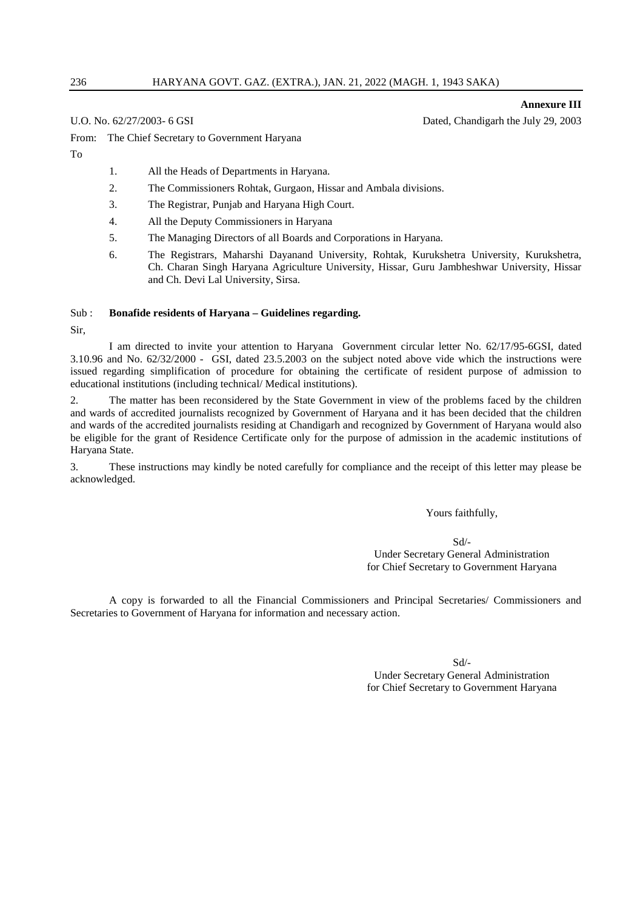**Annexure III**

U.O. No. 62/27/2003- 6 GSI Dated, Chandigarh the July 29, 2003

From: The Chief Secretary to Government Haryana

To

- 1. All the Heads of Departments in Haryana.
- 2. The Commissioners Rohtak, Gurgaon, Hissar and Ambala divisions.
- 3. The Registrar, Punjab and Haryana High Court.
- 4. All the Deputy Commissioners in Haryana
- 5. The Managing Directors of all Boards and Corporations in Haryana.
- 6. The Registrars, Maharshi Dayanand University, Rohtak, Kurukshetra University, Kurukshetra, Ch. Charan Singh Haryana Agriculture University, Hissar, Guru Jambheshwar University, Hissar and Ch. Devi Lal University, Sirsa.

#### Sub : **Bonafide residents of Haryana – Guidelines regarding.**

Sir,

I am directed to invite your attention to Haryana Government circular letter No. 62/17/95-6GSI, dated 3.10.96 and No. 62/32/2000 - GSI, dated 23.5.2003 on the subject noted above vide which the instructions were issued regarding simplification of procedure for obtaining the certificate of resident purpose of admission to educational institutions (including technical/ Medical institutions).

2. The matter has been reconsidered by the State Government in view of the problems faced by the children and wards of accredited journalists recognized by Government of Haryana and it has been decided that the children and wards of the accredited journalists residing at Chandigarh and recognized by Government of Haryana would also be eligible for the grant of Residence Certificate only for the purpose of admission in the academic institutions of Haryana State.

3. These instructions may kindly be noted carefully for compliance and the receipt of this letter may please be acknowledged.

Yours faithfully,

Sd/- Under Secretary General Administration for Chief Secretary to Government Haryana

A copy is forwarded to all the Financial Commissioners and Principal Secretaries/ Commissioners and Secretaries to Government of Haryana for information and necessary action.

Sd/-

Under Secretary General Administration for Chief Secretary to Government Haryana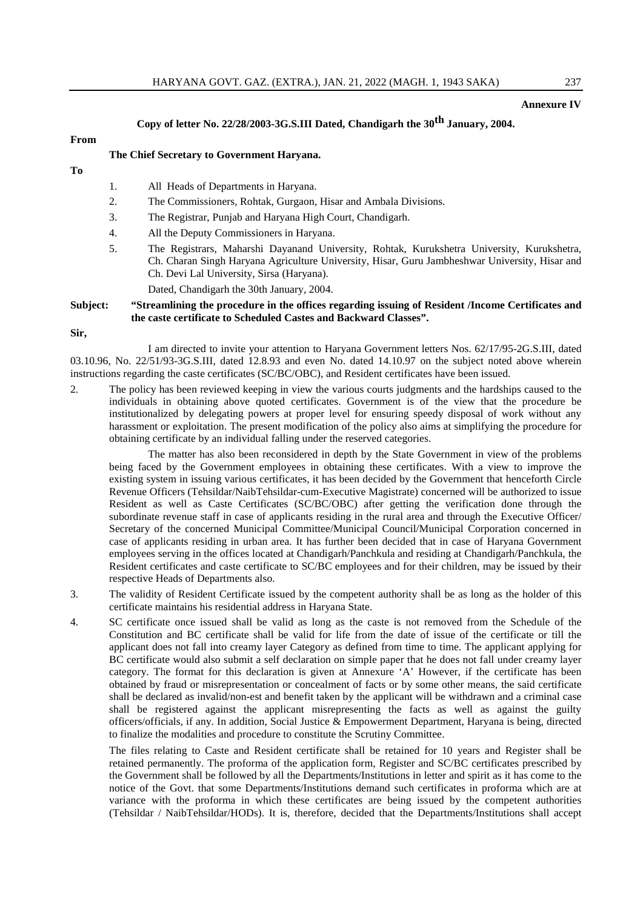#### **Annexure IV**

#### **Copy of letter No. 22/28/2003-3G.S.III Dated, Chandigarh the 30th January, 2004.**

#### **From**

#### **The Chief Secretary to Government Haryana.**

- **To**
- 1. All Heads of Departments in Haryana.
- 2. The Commissioners, Rohtak, Gurgaon, Hisar and Ambala Divisions.
- 3. The Registrar, Punjab and Haryana High Court, Chandigarh.
- 4. All the Deputy Commissioners in Haryana.
- 5. The Registrars, Maharshi Dayanand University, Rohtak, Kurukshetra University, Kurukshetra, Ch. Charan Singh Haryana Agriculture University, Hisar, Guru Jambheshwar University, Hisar and Ch. Devi Lal University, Sirsa (Haryana).
	- Dated, Chandigarh the 30th January, 2004.

#### **Subject: "Streamlining the procedure in the offices regarding issuing of Resident /Income Certificates and the caste certificate to Scheduled Castes and Backward Classes".**

**Sir,**

I am directed to invite your attention to Haryana Government letters Nos. 62/17/95-2G.S.III, dated 03.10.96, No. 22/51/93-3G.S.III, dated 12.8.93 and even No. dated 14.10.97 on the subject noted above wherein instructions regarding the caste certificates (SC/BC/OBC), and Resident certificates have been issued.

2. The policy has been reviewed keeping in view the various courts judgments and the hardships caused to the individuals in obtaining above quoted certificates. Government is of the view that the procedure be institutionalized by delegating powers at proper level for ensuring speedy disposal of work without any harassment or exploitation. The present modification of the policy also aims at simplifying the procedure for obtaining certificate by an individual falling under the reserved categories.

The matter has also been reconsidered in depth by the State Government in view of the problems being faced by the Government employees in obtaining these certificates. With a view to improve the existing system in issuing various certificates, it has been decided by the Government that henceforth Circle Revenue Officers (Tehsildar/NaibTehsildar-cum-Executive Magistrate) concerned will be authorized to issue Resident as well as Caste Certificates (SC/BC/OBC) after getting the verification done through the subordinate revenue staff in case of applicants residing in the rural area and through the Executive Officer/ Secretary of the concerned Municipal Committee/Municipal Council/Municipal Corporation concerned in case of applicants residing in urban area. It has further been decided that in case of Haryana Government employees serving in the offices located at Chandigarh/Panchkula and residing at Chandigarh/Panchkula, the Resident certificates and caste certificate to SC/BC employees and for their children, may be issued by their respective Heads of Departments also.

- 3. The validity of Resident Certificate issued by the competent authority shall be as long as the holder of this certificate maintains his residential address in Haryana State.
- 4. SC certificate once issued shall be valid as long as the caste is not removed from the Schedule of the Constitution and BC certificate shall be valid for life from the date of issue of the certificate or till the applicant does not fall into creamy layer Category as defined from time to time. The applicant applying for BC certificate would also submit a self declaration on simple paper that he does not fall under creamy layer category. The format for this declaration is given at Annexure 'A' However, if the certificate has been obtained by fraud or misrepresentation or concealment of facts or by some other means, the said certificate shall be declared as invalid/non-est and benefit taken by the applicant will be withdrawn and a criminal case shall be registered against the applicant misrepresenting the facts as well as against the guilty officers/officials, if any. In addition, Social Justice & Empowerment Department, Haryana is being, directed to finalize the modalities and procedure to constitute the Scrutiny Committee.

The files relating to Caste and Resident certificate shall be retained for 10 years and Register shall be retained permanently. The proforma of the application form, Register and SC/BC certificates prescribed by the Government shall be followed by all the Departments/Institutions in letter and spirit as it has come to the notice of the Govt. that some Departments/Institutions demand such certificates in proforma which are at variance with the proforma in which these certificates are being issued by the competent authorities (Tehsildar / NaibTehsildar/HODs). It is, therefore, decided that the Departments/Institutions shall accept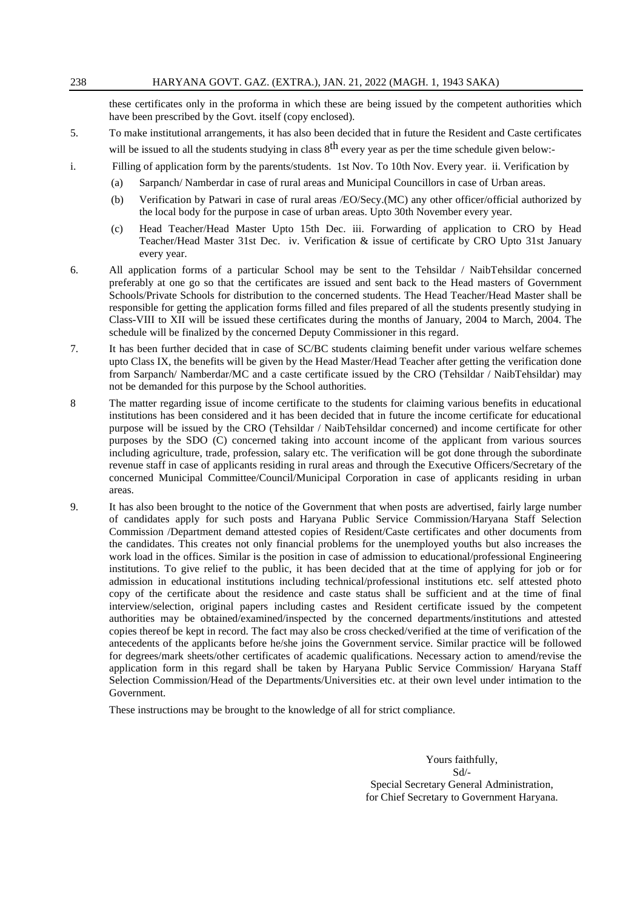these certificates only in the proforma in which these are being issued by the competent authorities which have been prescribed by the Govt. itself (copy enclosed).

- 5. To make institutional arrangements, it has also been decided that in future the Resident and Caste certificates will be issued to all the students studying in class  $8<sup>th</sup>$  every year as per the time schedule given below:-
- i. Filling of application form by the parents/students. 1st Nov. To 10th Nov. Every year. ii. Verification by
	- (a) Sarpanch/ Namberdar in case of rural areas and Municipal Councillors in case of Urban areas.
	- (b) Verification by Patwari in case of rural areas /EO/Secy.(MC) any other officer/official authorized by the local body for the purpose in case of urban areas. Upto 30th November every year.
	- (c) Head Teacher/Head Master Upto 15th Dec. iii. Forwarding of application to CRO by Head Teacher/Head Master 31st Dec. iv. Verification & issue of certificate by CRO Upto 31st January every year.
- 6. All application forms of a particular School may be sent to the Tehsildar / NaibTehsildar concerned preferably at one go so that the certificates are issued and sent back to the Head masters of Government Schools/Private Schools for distribution to the concerned students. The Head Teacher/Head Master shall be responsible for getting the application forms filled and files prepared of all the students presently studying in Class-VIII to XII will be issued these certificates during the months of January, 2004 to March, 2004. The schedule will be finalized by the concerned Deputy Commissioner in this regard.
- 7. It has been further decided that in case of SC/BC students claiming benefit under various welfare schemes upto Class IX, the benefits will be given by the Head Master/Head Teacher after getting the verification done from Sarpanch/ Namberdar/MC and a caste certificate issued by the CRO (Tehsildar / NaibTehsildar) may not be demanded for this purpose by the School authorities.
- 8 The matter regarding issue of income certificate to the students for claiming various benefits in educational institutions has been considered and it has been decided that in future the income certificate for educational purpose will be issued by the CRO (Tehsildar / NaibTehsildar concerned) and income certificate for other purposes by the SDO (C) concerned taking into account income of the applicant from various sources including agriculture, trade, profession, salary etc. The verification will be got done through the subordinate revenue staff in case of applicants residing in rural areas and through the Executive Officers/Secretary of the concerned Municipal Committee/Council/Municipal Corporation in case of applicants residing in urban areas.
- 9. It has also been brought to the notice of the Government that when posts are advertised, fairly large number of candidates apply for such posts and Haryana Public Service Commission/Haryana Staff Selection Commission /Department demand attested copies of Resident/Caste certificates and other documents from the candidates. This creates not only financial problems for the unemployed youths but also increases the work load in the offices. Similar is the position in case of admission to educational/professional Engineering institutions. To give relief to the public, it has been decided that at the time of applying for job or for admission in educational institutions including technical/professional institutions etc. self attested photo copy of the certificate about the residence and caste status shall be sufficient and at the time of final interview/selection, original papers including castes and Resident certificate issued by the competent authorities may be obtained/examined/inspected by the concerned departments/institutions and attested copies thereof be kept in record. The fact may also be cross checked/verified at the time of verification of the antecedents of the applicants before he/she joins the Government service. Similar practice will be followed for degrees/mark sheets/other certificates of academic qualifications. Necessary action to amend/revise the application form in this regard shall be taken by Haryana Public Service Commission/ Haryana Staff Selection Commission/Head of the Departments/Universities etc. at their own level under intimation to the Government.

These instructions may be brought to the knowledge of all for strict compliance.

Yours faithfully, Sd/- Special Secretary General Administration, for Chief Secretary to Government Haryana.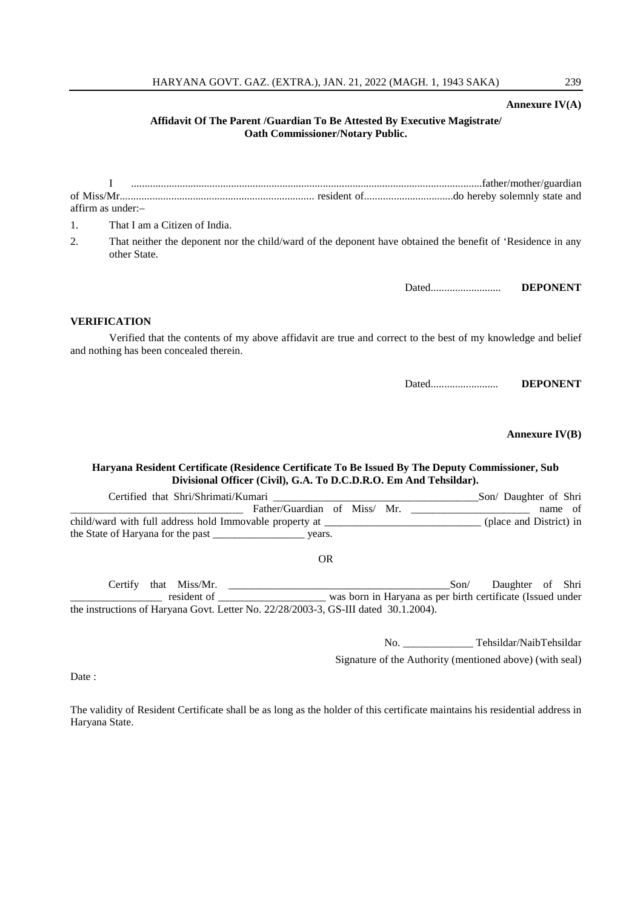#### HARYANA GOVT. GAZ. (EXTRA.), JAN. 21, 2022 (MAGH. 1, 1943 SAKA) 239

#### **Annexure IV(A)**

#### **Affidavit Of The Parent /Guardian To Be Attested By Executive Magistrate/ Oath Commissioner/Notary Public.**

|    | affirm as under:-                                                                                                                                       |                  |
|----|---------------------------------------------------------------------------------------------------------------------------------------------------------|------------------|
| 1. | That I am a Citizen of India.                                                                                                                           |                  |
| 2. | That neither the deponent nor the child/ward of the deponent have obtained the benefit of 'Residence in any<br>other State.                             |                  |
|    |                                                                                                                                                         | <b>DEPONENT</b>  |
|    | <b>VERIFICATION</b>                                                                                                                                     |                  |
|    | Verified that the contents of my above affidavit are true and correct to the best of my knowledge and belief<br>and nothing has been concealed therein. |                  |
|    |                                                                                                                                                         | <b>DEPONENT</b>  |
|    |                                                                                                                                                         | Annexure $IV(B)$ |

#### **Haryana Resident Certificate (Residence Certificate To Be Issued By The Deputy Commissioner, Sub Divisional Officer (Civil), G.A. To D.C.D.R.O. Em And Tehsildar).**

Certified that Shri/Shrimati/Kumari \_\_\_\_\_\_\_\_\_\_\_\_\_\_\_\_\_\_\_\_\_\_\_\_\_\_\_\_\_\_\_\_\_\_\_\_\_\_Son/ Daughter of Shri Father/Guardian of Miss/ Mr. and the name of child/ward with full address hold Immovable property at  $\qquad \qquad$  (place and District) in the State of Haryana for the past \_\_\_\_\_\_\_\_\_\_\_\_\_\_\_\_\_ years.

OR

Certify that Miss/Mr. \_\_\_\_\_\_\_\_\_\_\_\_\_\_\_\_\_\_\_\_\_\_\_\_\_\_\_\_\_\_\_\_\_\_\_\_\_\_\_\_\_Son/ Daughter of Shri \_\_\_\_\_\_\_\_\_\_\_\_\_\_\_\_\_ resident of \_\_\_\_\_\_\_\_\_\_\_\_\_\_\_\_\_\_\_\_ was born in Haryana as per birth certificate (Issued under the instructions of Haryana Govt. Letter No. 22/28/2003-3, GS-III dated 30.1.2004).

No. \_\_\_\_\_\_\_\_\_\_\_\_\_ Tehsildar/NaibTehsildar

Signature of the Authority (mentioned above) (with seal)

Date:

The validity of Resident Certificate shall be as long as the holder of this certificate maintains his residential address in Haryana State.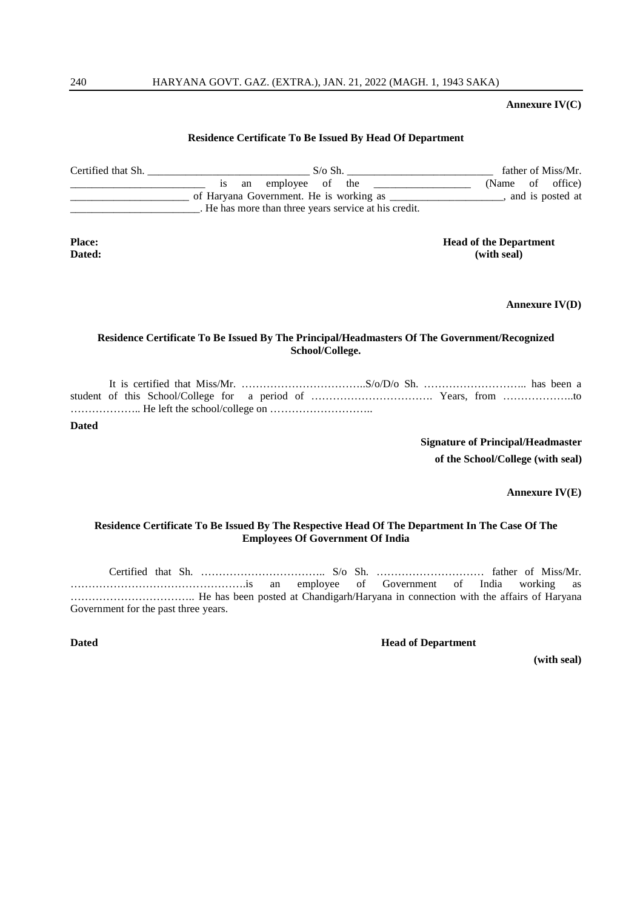#### **Annexure IV(C)**

#### **Residence Certificate To Be Issued By Head Of Department**

| Certified that Sh. | $S/\sigma S$ h.                                       | father of Miss/Mr. |
|--------------------|-------------------------------------------------------|--------------------|
|                    | employee of the<br>an                                 | (Name of office)   |
|                    | of Haryana Government. He is working as               | and is posted at   |
|                    | . He has more than three years service at his credit. |                    |
|                    |                                                       |                    |

**Place: Head of the Department Dated: (with seal)**

**Annexure IV(D)**

#### **Residence Certificate To Be Issued By The Principal/Headmasters Of The Government/Recognized School/College.**

It is certified that Miss/Mr. ……………………………..S/o/D/o Sh. ……………………….. has been a student of this School/College for a period of ……………………………. Years, from ………………..to ……………….. He left the school/college on ………………………..

**Dated**

**Signature of Principal/Headmaster of the School/College (with seal)**

**Annexure IV(E)**

#### **Residence Certificate To Be Issued By The Respective Head Of The Department In The Case Of The Employees Of Government Of India**

Certified that Sh. …………………………….. S/o Sh. ………………………… father of Miss/Mr. ………………………………………….is an employee of Government of India working as …………………………….. He has been posted at Chandigarh/Haryana in connection with the affairs of Haryana Government for the past three years.

**Dated Head of Department** 

**(with seal)**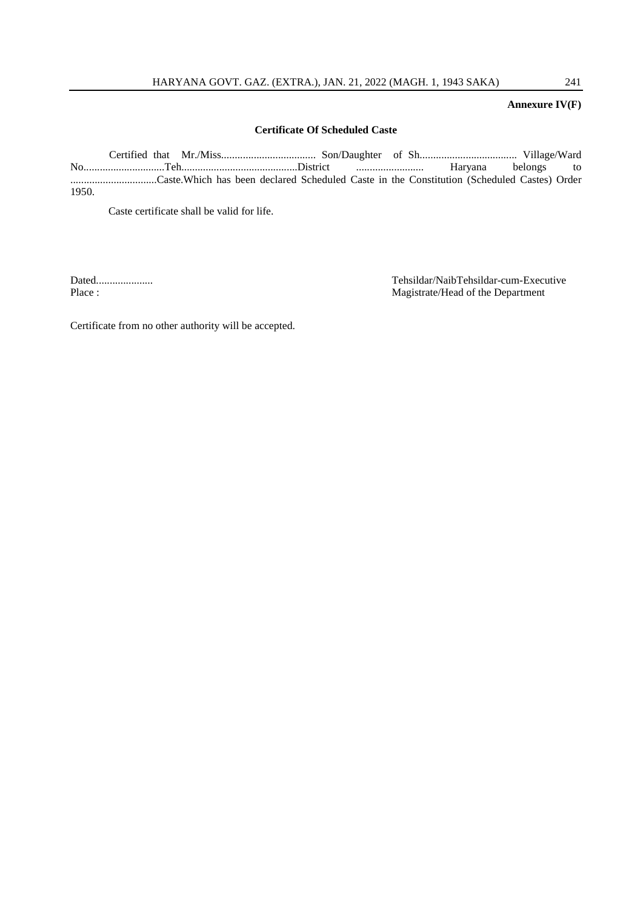#### **Annexure IV(F)**

#### **Certificate Of Scheduled Caste**

Certified that Mr./Miss................................... Son/Daughter of Sh.................................... Village/Ward No..............................Teh...........................................District ......................... Haryana belongs to ................................Caste.Which has been declared Scheduled Caste in the Constitution (Scheduled Castes) Order 1950.

Caste certificate shall be valid for life.

Dated..................... Tehsildar/NaibTehsildar-cum-Executive Magistrate/Head of the Department

Certificate from no other authority will be accepted.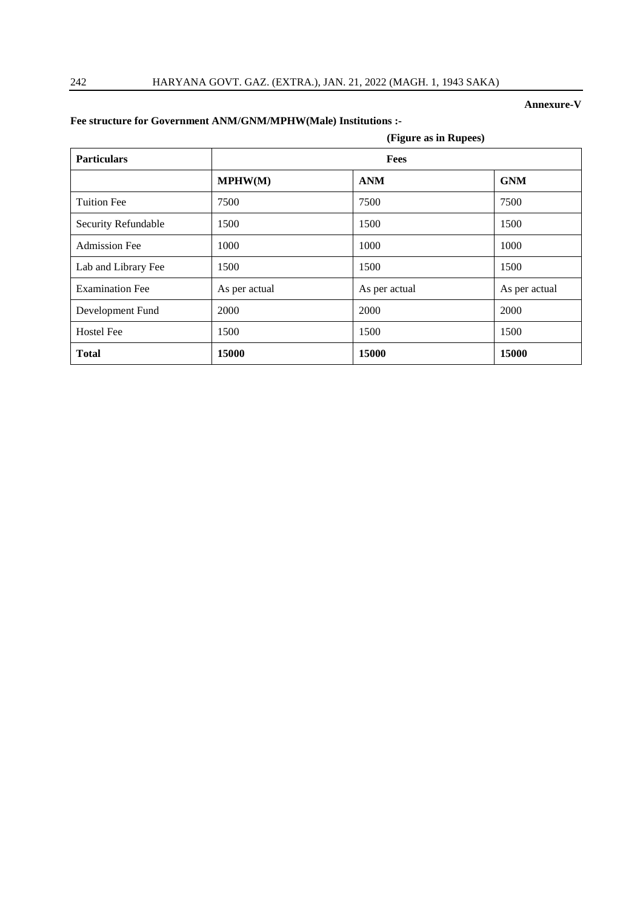#### **Annexure-V**

|                        | (Figure as in Rupees) |               |               |  |
|------------------------|-----------------------|---------------|---------------|--|
| <b>Particulars</b>     | Fees                  |               |               |  |
|                        | MPHW(M)               | <b>ANM</b>    | <b>GNM</b>    |  |
| <b>Tuition Fee</b>     | 7500                  | 7500          | 7500          |  |
| Security Refundable    | 1500                  | 1500          | 1500          |  |
| <b>Admission Fee</b>   | 1000                  | 1000          | 1000          |  |
| Lab and Library Fee    | 1500                  | 1500          | 1500          |  |
| <b>Examination Fee</b> | As per actual         | As per actual | As per actual |  |
| Development Fund       | 2000                  | 2000          | 2000          |  |
| <b>Hostel Fee</b>      | 1500                  | 1500          | 1500          |  |
| <b>Total</b>           | 15000                 | 15000         | 15000         |  |

# **Fee structure for Government ANM/GNM/MPHW(Male) Institutions :-**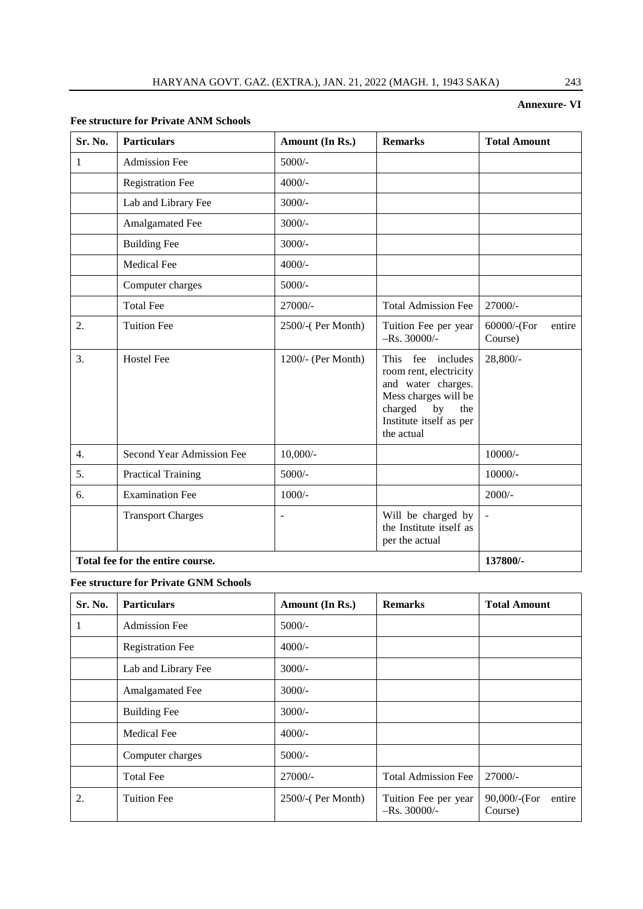### **Annexure- VI**

#### **Fee structure for Private ANM Schools**

| Sr. No.                          | <b>Particulars</b>        | Amount (In Rs.)    | <b>Remarks</b>                                                                                                                                             | <b>Total Amount</b>              |
|----------------------------------|---------------------------|--------------------|------------------------------------------------------------------------------------------------------------------------------------------------------------|----------------------------------|
| 1                                | <b>Admission Fee</b>      | $5000/-$           |                                                                                                                                                            |                                  |
|                                  | <b>Registration Fee</b>   | $4000/-$           |                                                                                                                                                            |                                  |
|                                  | Lab and Library Fee       | $3000/-$           |                                                                                                                                                            |                                  |
|                                  | Amalgamated Fee           | $3000/-$           |                                                                                                                                                            |                                  |
|                                  | <b>Building Fee</b>       | $3000/-$           |                                                                                                                                                            |                                  |
|                                  | <b>Medical Fee</b>        | $4000/-$           |                                                                                                                                                            |                                  |
|                                  | Computer charges          | $5000/-$           |                                                                                                                                                            |                                  |
|                                  | <b>Total Fee</b>          | 27000/-            | <b>Total Admission Fee</b>                                                                                                                                 | 27000/-                          |
| 2.                               | <b>Tuition Fee</b>        | 2500/-(Per Month)  | Tuition Fee per year<br>$-Rs. 30000/-$                                                                                                                     | 60000/-(For<br>entire<br>Course) |
| 3.                               | <b>Hostel Fee</b>         | 1200/- (Per Month) | This fee includes<br>room rent, electricity<br>and water charges.<br>Mess charges will be<br>charged<br>by<br>the<br>Institute itself as per<br>the actual | $28,800/-$                       |
| 4.                               | Second Year Admission Fee | $10,000/-$         |                                                                                                                                                            | 10000/-                          |
| 5.                               | <b>Practical Training</b> | $5000/-$           |                                                                                                                                                            | $10000/-$                        |
| 6.                               | <b>Examination Fee</b>    | $1000/-$           |                                                                                                                                                            | $2000/-$                         |
|                                  | <b>Transport Charges</b>  |                    | Will be charged by<br>the Institute itself as<br>per the actual                                                                                            | $\overline{a}$                   |
| Total fee for the entire course. |                           |                    |                                                                                                                                                            | 137800/-                         |

**Fee structure for Private GNM Schools**

| Sr. No. | <b>Particulars</b>      | Amount (In Rs.)   | <b>Remarks</b>                         | <b>Total Amount</b>               |
|---------|-------------------------|-------------------|----------------------------------------|-----------------------------------|
| -1      | <b>Admission Fee</b>    | $5000/-$          |                                        |                                   |
|         | <b>Registration Fee</b> | $4000/-$          |                                        |                                   |
|         | Lab and Library Fee     | $3000/-$          |                                        |                                   |
|         | Amalgamated Fee         | $3000/-$          |                                        |                                   |
|         | <b>Building Fee</b>     | $3000/-$          |                                        |                                   |
|         | <b>Medical Fee</b>      | $4000/-$          |                                        |                                   |
|         | Computer charges        | $5000/-$          |                                        |                                   |
|         | <b>Total Fee</b>        | 27000/-           | <b>Total Admission Fee</b>             | $27000/-$                         |
| 2.      | <b>Tuition Fee</b>      | 2500/-(Per Month) | Tuition Fee per year<br>$-Rs. 30000/-$ | 90,000/-(For<br>entire<br>Course) |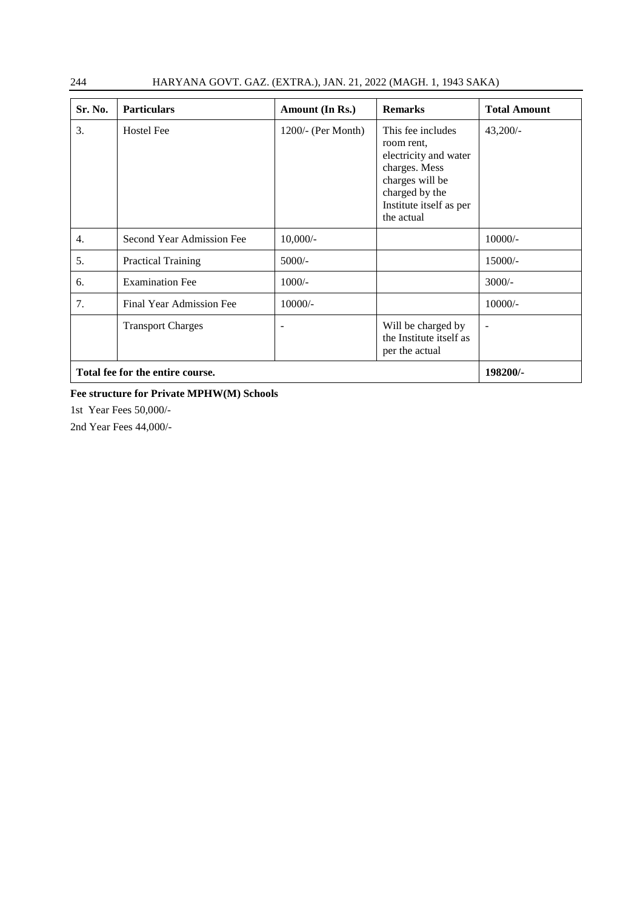| 244 | HARYANA GOVT. GAZ. (EXTRA.), JAN. 21, 2022 (MAGH. 1, 1943 SAKA) |  |
|-----|-----------------------------------------------------------------|--|
|-----|-----------------------------------------------------------------|--|

| Sr. No.                          | <b>Particulars</b>        | Amount (In Rs.)      | <b>Remarks</b>                                                                                                                                          | <b>Total Amount</b> |
|----------------------------------|---------------------------|----------------------|---------------------------------------------------------------------------------------------------------------------------------------------------------|---------------------|
| 3.                               | <b>Hostel Fee</b>         | $1200/-$ (Per Month) | This fee includes<br>room rent,<br>electricity and water<br>charges. Mess<br>charges will be<br>charged by the<br>Institute itself as per<br>the actual | $43,200/-$          |
| $\overline{4}$ .                 | Second Year Admission Fee | $10,000/-$           |                                                                                                                                                         | $10000/-$           |
| 5.                               | <b>Practical Training</b> | $5000/-$             |                                                                                                                                                         | $15000/-$           |
| 6.                               | <b>Examination Fee</b>    | $1000/-$             |                                                                                                                                                         | $3000/-$            |
| 7.                               | Final Year Admission Fee  | $10000/-$            |                                                                                                                                                         | $10000/-$           |
|                                  | <b>Transport Charges</b>  |                      | Will be charged by<br>the Institute itself as<br>per the actual                                                                                         |                     |
| Total fee for the entire course. |                           |                      |                                                                                                                                                         | 198200/-            |

#### **Fee structure for Private MPHW(M) Schools**

1st Year Fees 50,000/-

2nd Year Fees 44,000/-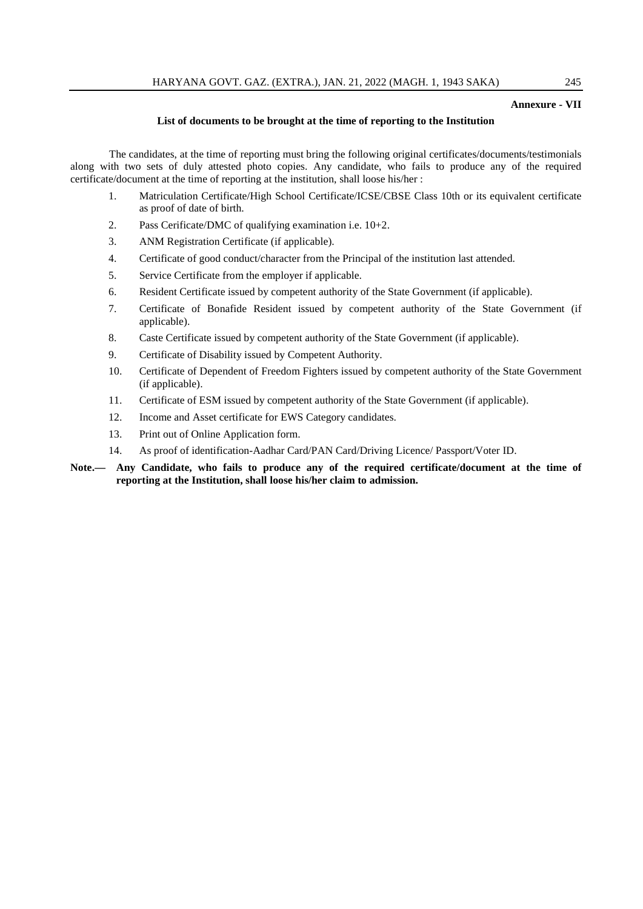#### **Annexure - VII**

#### **List of documents to be brought at the time of reporting to the Institution**

The candidates, at the time of reporting must bring the following original certificates/documents/testimonials along with two sets of duly attested photo copies. Any candidate, who fails to produce any of the required certificate/document at the time of reporting at the institution, shall loose his/her :

- 1. Matriculation Certificate/High School Certificate/ICSE/CBSE Class 10th or its equivalent certificate as proof of date of birth.
- 2. Pass Cerificate/DMC of qualifying examination i.e. 10+2.
- 3. ANM Registration Certificate (if applicable).
- 4. Certificate of good conduct/character from the Principal of the institution last attended.
- 5. Service Certificate from the employer if applicable.
- 6. Resident Certificate issued by competent authority of the State Government (if applicable).
- 7. Certificate of Bonafide Resident issued by competent authority of the State Government (if applicable).
- 8. Caste Certificate issued by competent authority of the State Government (if applicable).
- 9. Certificate of Disability issued by Competent Authority.
- 10. Certificate of Dependent of Freedom Fighters issued by competent authority of the State Government (if applicable).
- 11. Certificate of ESM issued by competent authority of the State Government (if applicable).
- 12. Income and Asset certificate for EWS Category candidates.
- 13. Print out of Online Application form.
- 14. As proof of identification-Aadhar Card/PAN Card/Driving Licence/ Passport/Voter ID.

#### **Note.— Any Candidate, who fails to produce any of the required certificate/document at the time of reporting at the Institution, shall loose his/her claim to admission.**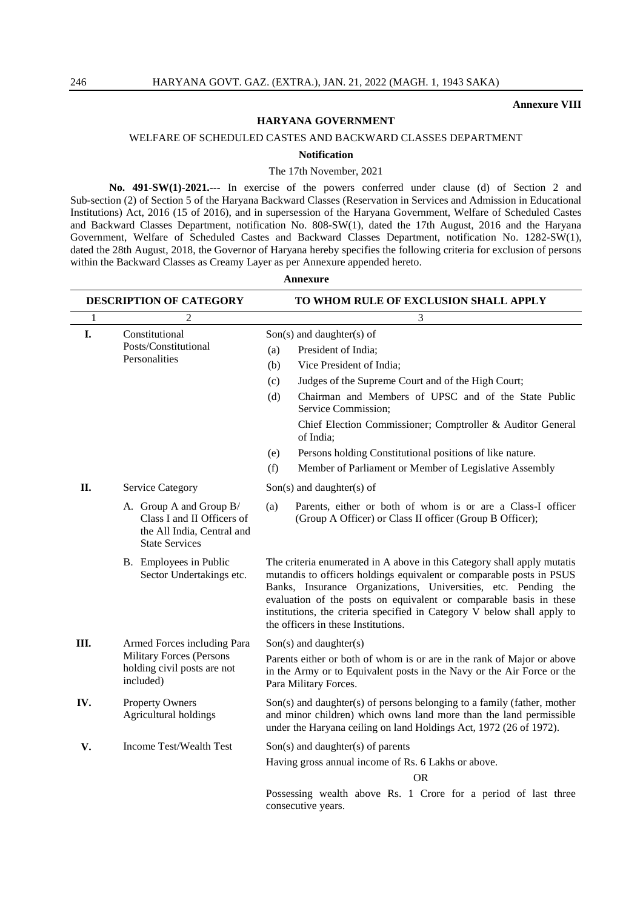#### **Annexure VIII**

#### **HARYANA GOVERNMENT**

WELFARE OF SCHEDULED CASTES AND BACKWARD CLASSES DEPARTMENT

#### **Notification**

The 17th November, 2021

**No. 491-SW(1)-2021.---** In exercise of the powers conferred under clause (d) of Section 2 and Sub-section (2) of Section 5 of the Haryana Backward Classes (Reservation in Services and Admission in Educational Institutions) Act, 2016 (15 of 2016), and in supersession of the Haryana Government, Welfare of Scheduled Castes and Backward Classes Department, notification No. 808-SW(1), dated the 17th August, 2016 and the Haryana Government, Welfare of Scheduled Castes and Backward Classes Department, notification No. 1282-SW(1), dated the 28th August, 2018, the Governor of Haryana hereby specifies the following criteria for exclusion of persons within the Backward Classes as Creamy Layer as per Annexure appended hereto.

**Annexure**

|              | DESCRIPTION OF CATEGORY                                                                                      | TO WHOM RULE OF EXCLUSION SHALL APPLY                                                                                                                                                                                                                                                                                                                                                                     |  |  |  |
|--------------|--------------------------------------------------------------------------------------------------------------|-----------------------------------------------------------------------------------------------------------------------------------------------------------------------------------------------------------------------------------------------------------------------------------------------------------------------------------------------------------------------------------------------------------|--|--|--|
| $\mathbf{1}$ | $\overline{2}$                                                                                               | 3                                                                                                                                                                                                                                                                                                                                                                                                         |  |  |  |
| I.           | Constitutional<br>Posts/Constitutional<br>Personalities                                                      | $Son(s)$ and daughter(s) of                                                                                                                                                                                                                                                                                                                                                                               |  |  |  |
|              |                                                                                                              | President of India;<br>(a)                                                                                                                                                                                                                                                                                                                                                                                |  |  |  |
|              |                                                                                                              | Vice President of India;<br>(b)                                                                                                                                                                                                                                                                                                                                                                           |  |  |  |
|              |                                                                                                              | Judges of the Supreme Court and of the High Court;<br>(c)                                                                                                                                                                                                                                                                                                                                                 |  |  |  |
|              |                                                                                                              | Chairman and Members of UPSC and of the State Public<br>(d)<br>Service Commission;                                                                                                                                                                                                                                                                                                                        |  |  |  |
|              |                                                                                                              | Chief Election Commissioner; Comptroller & Auditor General<br>of India;                                                                                                                                                                                                                                                                                                                                   |  |  |  |
|              |                                                                                                              | Persons holding Constitutional positions of like nature.<br>(e)                                                                                                                                                                                                                                                                                                                                           |  |  |  |
|              |                                                                                                              | (f)<br>Member of Parliament or Member of Legislative Assembly                                                                                                                                                                                                                                                                                                                                             |  |  |  |
| II.          | <b>Service Category</b>                                                                                      | $Son(s)$ and daughter(s) of                                                                                                                                                                                                                                                                                                                                                                               |  |  |  |
|              | A. Group A and Group B/<br>Class I and II Officers of<br>the All India, Central and<br><b>State Services</b> | Parents, either or both of whom is or are a Class-I officer<br>(a)<br>(Group A Officer) or Class II officer (Group B Officer);                                                                                                                                                                                                                                                                            |  |  |  |
|              | B. Employees in Public<br>Sector Undertakings etc.                                                           | The criteria enumerated in A above in this Category shall apply mutatis<br>mutandis to officers holdings equivalent or comparable posts in PSUS<br>Banks, Insurance Organizations, Universities, etc. Pending the<br>evaluation of the posts on equivalent or comparable basis in these<br>institutions, the criteria specified in Category V below shall apply to<br>the officers in these Institutions. |  |  |  |
| Ш.           | Armed Forces including Para                                                                                  | $Son(s)$ and daughter(s)                                                                                                                                                                                                                                                                                                                                                                                  |  |  |  |
|              | Military Forces (Persons<br>holding civil posts are not<br>included)                                         | Parents either or both of whom is or are in the rank of Major or above<br>in the Army or to Equivalent posts in the Navy or the Air Force or the<br>Para Military Forces.                                                                                                                                                                                                                                 |  |  |  |
| IV.          | <b>Property Owners</b><br>Agricultural holdings                                                              | Son(s) and daughter(s) of persons belonging to a family (father, mother<br>and minor children) which owns land more than the land permissible<br>under the Haryana ceiling on land Holdings Act, 1972 (26 of 1972).                                                                                                                                                                                       |  |  |  |
| V.           | Income Test/Wealth Test                                                                                      | $Son(s)$ and daughter(s) of parents                                                                                                                                                                                                                                                                                                                                                                       |  |  |  |
|              |                                                                                                              | Having gross annual income of Rs. 6 Lakhs or above.                                                                                                                                                                                                                                                                                                                                                       |  |  |  |
|              |                                                                                                              | OR.                                                                                                                                                                                                                                                                                                                                                                                                       |  |  |  |
|              |                                                                                                              | Possessing wealth above Rs. 1 Crore for a period of last three<br>consecutive years.                                                                                                                                                                                                                                                                                                                      |  |  |  |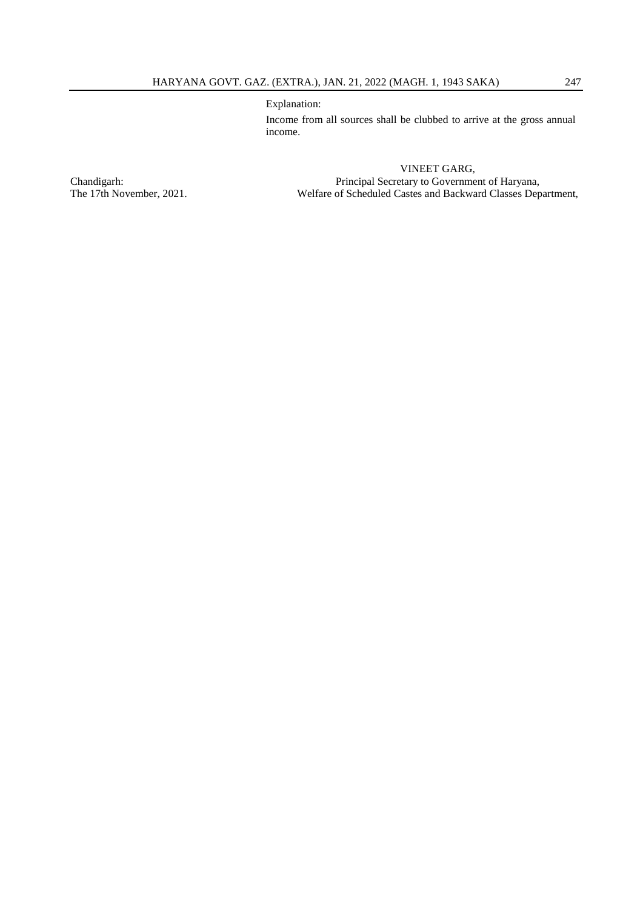Explanation:

Income from all sources shall be clubbed to arrive at the gross annual income.

VINEET GARG, Chandigarh: Principal Secretary to Government of Haryana, The 17th November, 2021. Welfare of Scheduled Castes and Backward Classes Department,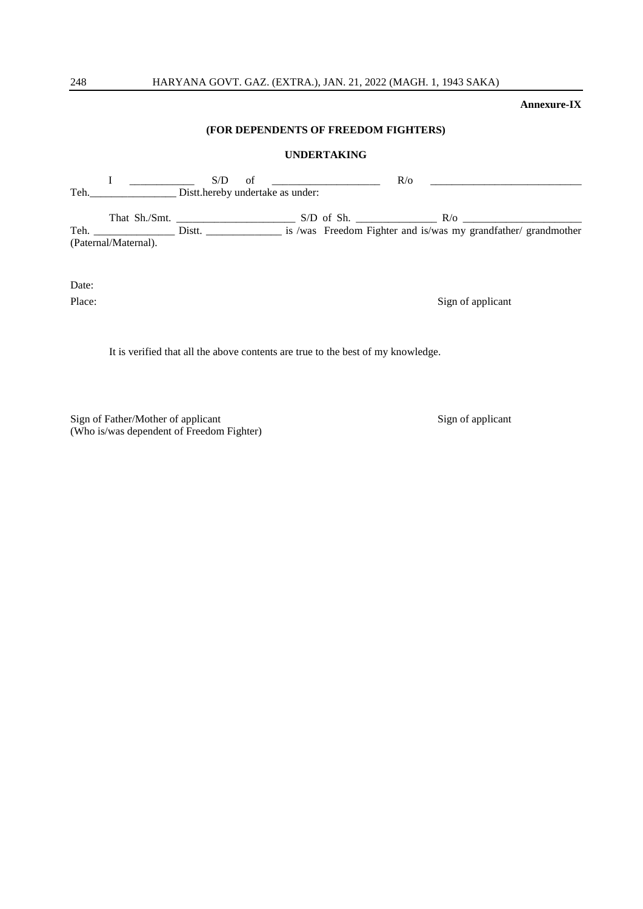#### **Annexure-IX**

#### **(FOR DEPENDENTS OF FREEDOM FIGHTERS)**

#### **UNDERTAKING**

|      |                      | S/D    | of                               | $R$ <sub>o</sub> |            |                                                                |
|------|----------------------|--------|----------------------------------|------------------|------------|----------------------------------------------------------------|
| Teh. |                      |        | Distt.hereby undertake as under: |                  |            |                                                                |
|      | That Sh./Smt.        |        |                                  | $S/D$ of Sh.     | $R/\alpha$ |                                                                |
| Teh. |                      | Distt. |                                  |                  |            | is /was Freedom Fighter and is/was my grandfather/ grandmother |
|      | (Paternal/Maternal). |        |                                  |                  |            |                                                                |

Date:

Place: Sign of applicant

It is verified that all the above contents are true to the best of my knowledge.

Sign of Father/Mother of applicant Sign of applicant Sign of applicant (Who is/was dependent of Freedom Fighter)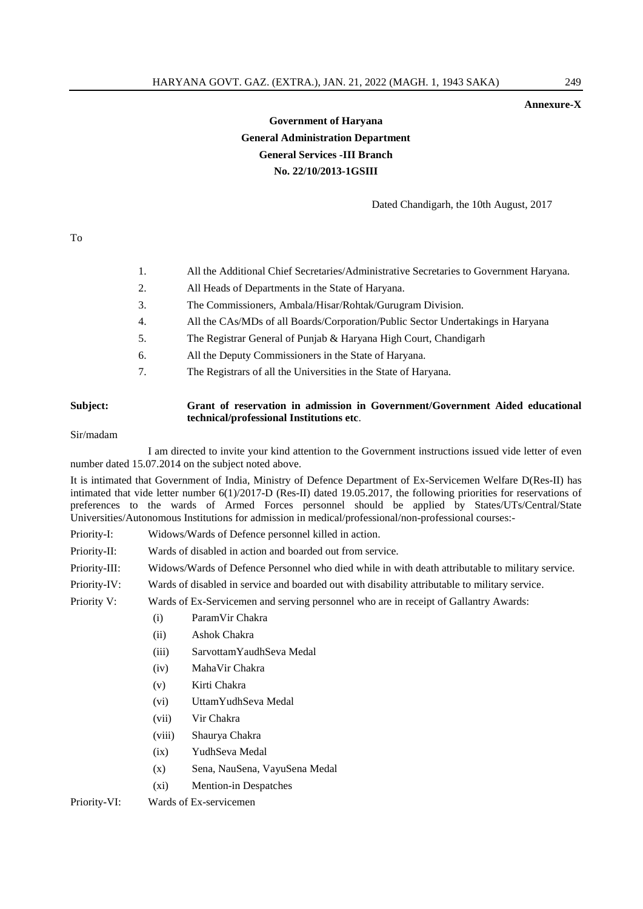#### **Annexure-X**

# **Government of Haryana General Administration Department General Services -III Branch No. 22/10/2013-1GSIII**

Dated Chandigarh, the 10th August, 2017

To

#### 1. All the Additional Chief Secretaries/Administrative Secretaries to Government Haryana.

- 2. All Heads of Departments in the State of Haryana.
- 3. The Commissioners, Ambala/Hisar/Rohtak/Gurugram Division.
- 4. All the CAs/MDs of all Boards/Corporation/Public Sector Undertakings in Haryana
- 5. The Registrar General of Punjab & Haryana High Court, Chandigarh
- 6. All the Deputy Commissioners in the State of Haryana.
- 7. The Registrars of all the Universities in the State of Haryana.

#### **Subject: Grant of reservation in admission in Government/Government Aided educational technical/professional Institutions etc**.

Sir/madam

I am directed to invite your kind attention to the Government instructions issued vide letter of even number dated 15.07.2014 on the subject noted above.

It is intimated that Government of India, Ministry of Defence Department of Ex-Servicemen Welfare D(Res-II) has intimated that vide letter number 6(1)/2017-D (Res-II) dated 19.05.2017, the following priorities for reservations of preferences to the wards of Armed Forces personnel should be applied by States/UTs/Central/State Universities/Autonomous Institutions for admission in medical/professional/non-professional courses:-

Priority-I: Widows/Wards of Defence personnel killed in action.

Priority-II: Wards of disabled in action and boarded out from service.

Priority-III: Widows/Wards of Defence Personnel who died while in with death attributable to military service.

Priority-IV: Wards of disabled in service and boarded out with disability attributable to military service.

Priority V: Wards of Ex-Servicemen and serving personnel who are in receipt of Gallantry Awards:

- (i) ParamVir Chakra
- (ii) Ashok Chakra
- (iii) SarvottamYaudhSeva Medal
- (iv) MahaVir Chakra
- (v) Kirti Chakra
- (vi) UttamYudhSeva Medal
- (vii) Vir Chakra
- (viii) Shaurya Chakra
- (ix) YudhSeva Medal
- (x) Sena, NauSena, VayuSena Medal
- (xi) Mention-in Despatches

Priority-VI: Wards of Ex-servicemen